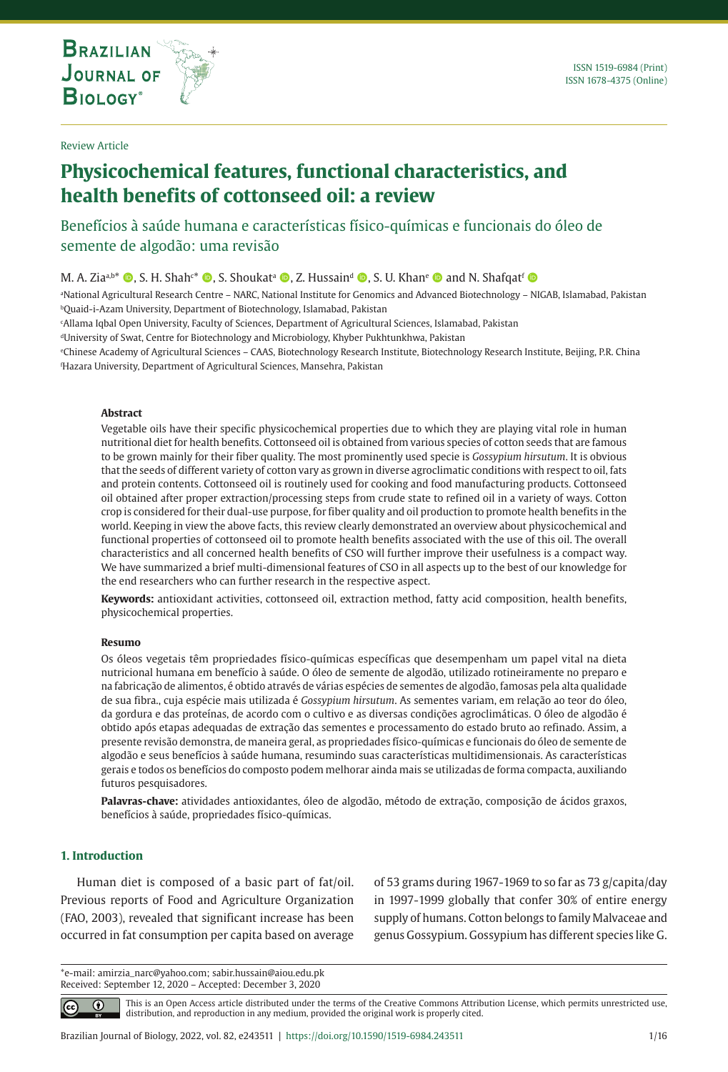**THE INTERNATIONAL JOURNAL ON GLOBAL BIODIVERSITY AND ENVIRONMENT**

# **Physicochemical features, functional characteristics, and health benefits of cottonseed oil: a review**

Benefícios à saúde humana e características físico-químicas e funcionais do óleo de semente de algodão: uma revisão

M. A. Ziaab\* ©, S. H. Shah<sup>c\*</sup> ©, S. Shoukat<sup>a</sup> ©, Z. Hussain<sup>d</sup> ©, S. U. Khan<sup>e</sup> © and N. Shafqat<sup>f</sup> ©

a National Agricultural Research Centre – NARC, National Institute for Genomics and Advanced Biotechnology – NIGAB, Islamabad, Pakistan bQuaid-i-Azam University, Department of Biotechnology, Islamabad, Pakistan

c Allama Iqbal Open University, Faculty of Sciences, Department of Agricultural Sciences, Islamabad, Pakistan

<sup>d</sup>University of Swat, Centre for Biotechnology and Microbiology, Khyber Pukhtunkhwa, Pakistan

e Chinese Academy of Agricultural Sciences – CAAS, Biotechnology Research Institute, Biotechnology Research Institute, Beijing, P.R. China f Hazara University, Department of Agricultural Sciences, Mansehra, Pakistan

#### **Abstract**

Vegetable oils have their specific physicochemical properties due to which they are playing vital role in human nutritional diet for health benefits. Cottonseed oil is obtained from various species of cotton seeds that are famous to be grown mainly for their fiber quality. The most prominently used specie is *Gossypium hirsutum*. It is obvious that the seeds of different variety of cotton vary as grown in diverse agroclimatic conditions with respect to oil, fats and protein contents. Cottonseed oil is routinely used for cooking and food manufacturing products. Cottonseed oil obtained after proper extraction/processing steps from crude state to refined oil in a variety of ways. Cotton crop is considered for their dual-use purpose, for fiber quality and oil production to promote health benefits in the world. Keeping in view the above facts, this review clearly demonstrated an overview about physicochemical and functional properties of cottonseed oil to promote health benefits associated with the use of this oil. The overall characteristics and all concerned health benefits of CSO will further improve their usefulness is a compact way. We have summarized a brief multi-dimensional features of CSO in all aspects up to the best of our knowledge for the end researchers who can further research in the respective aspect.

**Keywords:** antioxidant activities, cottonseed oil, extraction method, fatty acid composition, health benefits, physicochemical properties.

#### **Resumo**

Os óleos vegetais têm propriedades físico-químicas específicas que desempenham um papel vital na dieta nutricional humana em benefício à saúde. O óleo de semente de algodão, utilizado rotineiramente no preparo e na fabricação de alimentos, é obtido através de várias espécies de sementes de algodão, famosas pela alta qualidade de sua fibra., cuja espécie mais utilizada é *Gossypium hirsutum*. As sementes variam, em relação ao teor do óleo, da gordura e das proteínas, de acordo com o cultivo e as diversas condições agroclimáticas. O óleo de algodão é obtido após etapas adequadas de extração das sementes e processamento do estado bruto ao refinado. Assim, a presente revisão demonstra, de maneira geral, as propriedades físico-químicas e funcionais do óleo de semente de algodão e seus benefícios à saúde humana, resumindo suas características multidimensionais. As características gerais e todos os benefícios do composto podem melhorar ainda mais se utilizadas de forma compacta, auxiliando futuros pesquisadores.

**Palavras-chave:** atividades antioxidantes, óleo de algodão, método de extração, composição de ácidos graxos, benefícios à saúde, propriedades físico-químicas.

# **1. Introduction**

 $|cc|$ 

Human diet is composed of a basic part of fat/oil. Previous reports of Food and Agriculture Organization (FAO, 2003), revealed that significant increase has been occurred in fat consumption per capita based on average of 53 grams during 1967-1969 to so far as 73 g/capita/day in 1997-1999 globally that confer 30% of entire energy supply of humans. Cotton belongs to family Malvaceae and genus Gossypium. Gossypium has different species like G.

\*e-mail: amirzia\_narc@yahoo.com; sabir.hussain@aiou.edu.pk Received: September 12, 2020 – Accepted: December 3, 2020

> This is an Open Access article distributed under the terms of the Creative Commons Attribution License, which permits unrestricted use, ⋒ distribution, and reproduction in any medium, provided the original work is properly cited.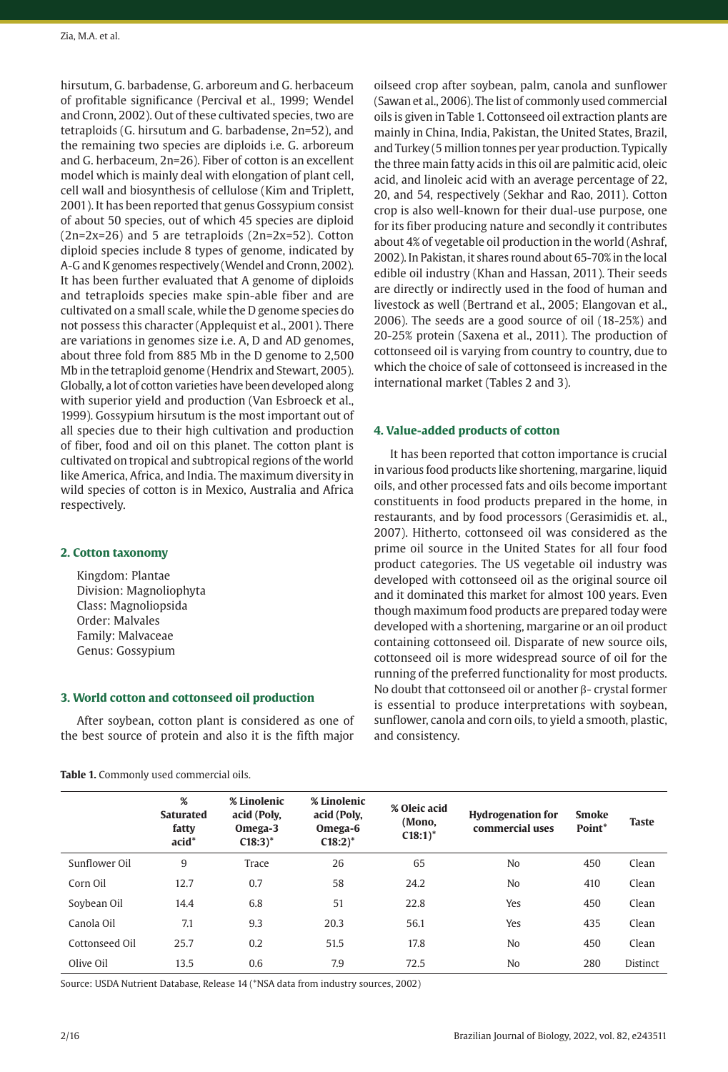hirsutum, G. barbadense, G. arboreum and G. herbaceum of profitable significance (Percival et al., 1999; Wendel and Cronn, 2002). Out of these cultivated species, two are tetraploids (G. hirsutum and G. barbadense, 2n=52), and the remaining two species are diploids i.e. G. arboreum and G. herbaceum, 2n=26). Fiber of cotton is an excellent model which is mainly deal with elongation of plant cell, cell wall and biosynthesis of cellulose (Kim and Triplett, 2001). It has been reported that genus Gossypium consist of about 50 species, out of which 45 species are diploid (2n=2x=26) and 5 are tetraploids (2n=2x=52). Cotton diploid species include 8 types of genome, indicated by A-G and K genomes respectively (Wendel and Cronn, 2002). It has been further evaluated that A genome of diploids and tetraploids species make spin-able fiber and are cultivated on a small scale, while the D genome species do not possess this character (Applequist et al., 2001). There are variations in genomes size i.e. A, D and AD genomes, about three fold from 885 Mb in the D genome to 2,500 Mb in the tetraploid genome (Hendrix and Stewart, 2005). Globally, a lot of cotton varieties have been developed along with superior yield and production [\(Van Esbroeck](https://acsess.onlinelibrary.wiley.com/action/doSearch?ContribAuthorStored=van+Esbroeck%2C+G+A) et al., 1999). Gossypium hirsutum is the most important out of all species due to their high cultivation and production of fiber, food and oil on this planet. The cotton plant is cultivated on tropical and subtropical regions of the world like America, Africa, and India. The maximum diversity in wild species of cotton is in Mexico, Australia and Africa respectively.

## **2. Cotton taxonomy**

Kingdom: Plantae Division: Magnoliophyta Class: Magnoliopsida Order: Malvales Family: Malvaceae Genus: Gossypium

## **3. World cotton and cottonseed oil production**

After soybean, cotton plant is considered as one of the best source of protein and also it is the fifth major

**Table 1.** Commonly used commercial oils.

oilseed crop after soybean, palm, canola and sunflower (Sawan et al., 2006). The list of commonly used commercial oils is given in Table 1. Cottonseed oil extraction plants are mainly in China, India, Pakistan, the United States, Brazil, and Turkey (5 million tonnes per year production. Typically the three main fatty acids in this oil are palmitic acid, oleic acid, and linoleic acid with an average percentage of 22, 20, and 54, respectively (Sekhar and Rao, 2011). Cotton crop is also well-known for their dual-use purpose, one for its fiber producing nature and secondly it contributes about 4% of vegetable oil production in the world (Ashraf, 2002). In Pakistan, it shares round about 65-70% in the local edible oil industry (Khan and Hassan, 2011). Their seeds are directly or indirectly used in the food of human and livestock as well (Bertrand et al., 2005; Elangovan et al., 2006). The seeds are a good source of oil (18-25%) and 20-25% protein (Saxena et al., 2011). The production of cottonseed oil is varying from country to country, due to which the choice of sale of cottonseed is increased in the international market (Tables 2 and 3).

## **4. Value-added products of cotton**

It has been reported that cotton importance is crucial in various food products like shortening, margarine, liquid oils, and other processed fats and oils become important constituents in food products prepared in the home, in restaurants, and by food processors (Gerasimidis et. al., 2007). Hitherto, cottonseed oil was considered as the prime oil source in the United States for all four food product categories. The US vegetable oil industry was developed with cottonseed oil as the original source oil and it dominated this market for almost 100 years. Even though maximum food products are prepared today were developed with a shortening, margarine or an oil product containing cottonseed oil. Disparate of new source oils, cottonseed oil is more widespread source of oil for the running of the preferred functionality for most products. No doubt that cottonseed oil or another β- crystal former is essential to produce interpretations with soybean, sunflower, canola and corn oils, to yield a smooth, plastic, and consistency.

|                | %<br><b>Saturated</b><br>fatty<br>$acid^*$ | % Linolenic<br>acid (Poly,<br>Omega-3<br>$C18:3$ <sup>*</sup> | % Linolenic<br>acid (Poly,<br>Omega-6<br>$C18:2$ <sup>*</sup> | % Oleic acid<br>(Mono.<br>$C18:1$ <sup>*</sup> | <b>Hydrogenation for</b><br>commercial uses | <b>Smoke</b><br>Point* | <b>Taste</b>    |
|----------------|--------------------------------------------|---------------------------------------------------------------|---------------------------------------------------------------|------------------------------------------------|---------------------------------------------|------------------------|-----------------|
| Sunflower Oil  | 9                                          | Trace                                                         | 26                                                            | 65                                             | No                                          | 450                    | Clean           |
| Corn Oil       | 12.7                                       | 0.7                                                           | 58                                                            | 24.2                                           | No                                          | 410                    | Clean           |
| Soybean Oil    | 14.4                                       | 6.8                                                           | 51                                                            | 22.8                                           | Yes                                         | 450                    | Clean           |
| Canola Oil     | 7.1                                        | 9.3                                                           | 20.3                                                          | 56.1                                           | Yes                                         | 435                    | Clean           |
| Cottonseed Oil | 25.7                                       | 0.2                                                           | 51.5                                                          | 17.8                                           | No                                          | 450                    | Clean           |
| Olive Oil      | 13.5                                       | 0.6                                                           | 7.9                                                           | 72.5                                           | No                                          | 280                    | <b>Distinct</b> |

Source: USDA Nutrient Database, Release 14 (\*NSA data from industry sources, 2002)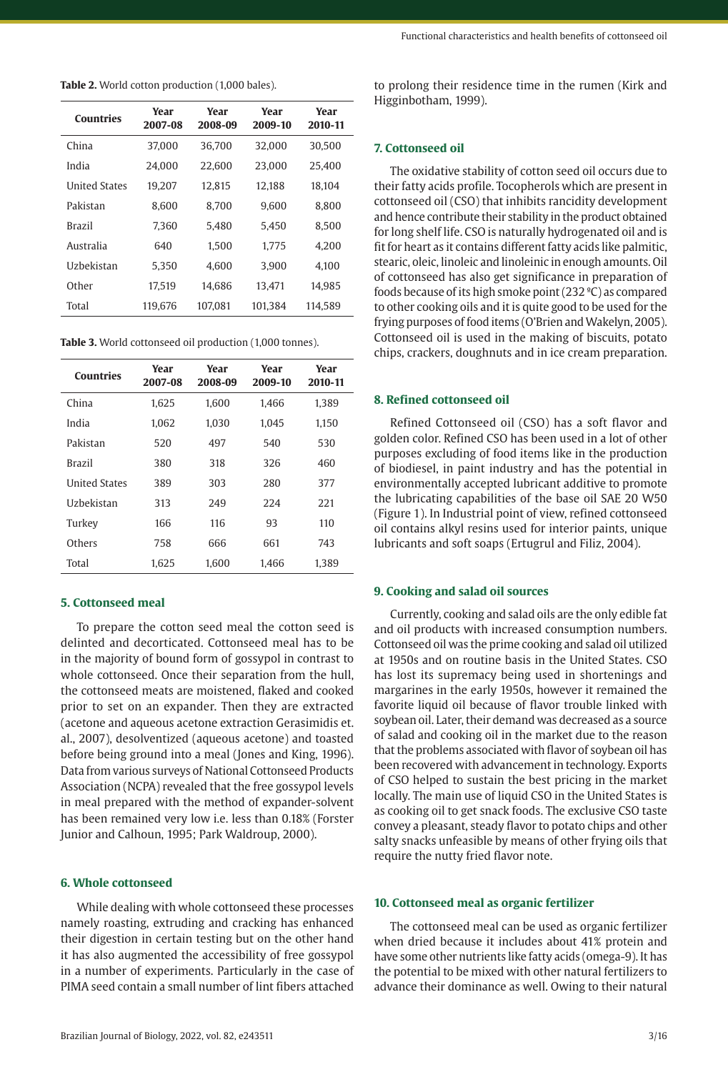**Table 2.** World cotton production (1,000 bales).

| Countries            | Year<br>2007-08 | Year<br>2008-09 | Year<br>2009-10 | Year<br>2010-11 |
|----------------------|-----------------|-----------------|-----------------|-----------------|
| China                | 37,000          | 36,700          | 32,000          | 30,500          |
| India                | 24.000          | 22,600          | 23,000          | 25.400          |
| <b>United States</b> | 19.207          | 12.815          | 12,188          | 18.104          |
| Pakistan             | 8.600           | 8.700           | 9.600           | 8.800           |
| <b>Brazil</b>        | 7.360           | 5.480           | 5.450           | 8.500           |
| Australia            | 640             | 1.500           | 1.775           | 4.200           |
| <b>Uzbekistan</b>    | 5.350           | 4.600           | 3.900           | 4.100           |
| Other                | 17.519          | 14.686          | 13.471          | 14.985          |
| Total                | 119,676         | 107.081         | 101.384         | 114.589         |

**Table 3.** World cottonseed oil production (1,000 tonnes).

| <b>Countries</b>     | Year<br>2007-08 | Year<br>2008-09 | Year<br>2009-10 | Year<br>2010-11 |
|----------------------|-----------------|-----------------|-----------------|-----------------|
| China                | 1.625           | 1.600           | 1.466           | 1,389           |
| India                | 1.062           | 1.030           | 1.045           | 1,150           |
| Pakistan             | 520             | 497             | 540             | 530             |
| <b>Brazil</b>        | 380             | 318             | 326             | 460             |
| <b>United States</b> | 389             | 303             | 280             | 377             |
| <b>Uzbekistan</b>    | 313             | 249             | 224             | 221             |
| Turkey               | 166             | 116             | 93              | 110             |
| Others               | 758             | 666             | 661             | 743             |
| Total                | 1.625           | 1.600           | 1.466           | 1.389           |

## **5. Cottonseed meal**

To prepare the cotton seed meal the cotton seed is delinted and decorticated. Cottonseed meal has to be in the majority of bound form of gossypol in contrast to whole cottonseed. Once their separation from the hull, the cottonseed meats are moistened, flaked and cooked prior to set on an expander. Then they are extracted (acetone and aqueous acetone extraction Gerasimidis et. al., 2007), desolventized (aqueous acetone) and toasted before being ground into a meal (Jones and King, 1996). Data from various surveys of National Cottonseed Products Association (NCPA) revealed that the free gossypol levels in meal prepared with the method of expander-solvent has been remained very low i.e. less than 0.18% (Forster Junior and Calhoun, 1995; Park Waldroup, 2000).

# **6. Whole cottonseed**

While dealing with whole cottonseed these processes namely roasting, extruding and cracking has enhanced their digestion in certain testing but on the other hand it has also augmented the accessibility of free gossypol in a number of experiments. Particularly in the case of PIMA seed contain a small number of lint fibers attached

to prolong their residence time in the rumen (Kirk and Higginbotham, 1999).

# **7. Cottonseed oil**

The oxidative stability of cotton seed oil occurs due to their fatty acids profile. Tocopherols which are present in cottonseed oil (CSO) that inhibits rancidity development and hence contribute their stability in the product obtained for long shelf life. CSO is naturally hydrogenated oil and is fit for heart as it contains different fatty acids like palmitic, stearic, oleic, linoleic and linoleinic in enough amounts. Oil of cottonseed has also get significance in preparation of foods because of its high smoke point (232 ºC) as compared to other cooking oils and it is quite good to be used for the frying purposes of food items (O'Brien and Wakelyn, 2005). Cottonseed oil is used in the making of biscuits, potato chips, crackers, doughnuts and in ice cream preparation.

#### **8. Refined cottonseed oil**

Refined Cottonseed oil (CSO) has a soft flavor and golden color. Refined CSO has been used in a lot of other purposes excluding of food items like in the production of biodiesel, in paint industry and has the potential in environmentally accepted lubricant additive to promote the lubricating capabilities of the base oil SAE 20 W50 (Figure 1). In Industrial point of view, refined cottonseed oil contains alkyl resins used for interior paints, unique lubricants and soft soaps (Ertugrul and Filiz, 2004).

#### **9. Cooking and salad oil sources**

Currently, cooking and salad oils are the only edible fat and oil products with increased consumption numbers. Cottonseed oil was the prime cooking and salad oil utilized at 1950s and on routine basis in the United States. CSO has lost its supremacy being used in shortenings and margarines in the early 1950s, however it remained the favorite liquid oil because of flavor trouble linked with soybean oil. Later, their demand was decreased as a source of salad and cooking oil in the market due to the reason that the problems associated with flavor of soybean oil has been recovered with advancement in technology. Exports of CSO helped to sustain the best pricing in the market locally. The main use of liquid CSO in the United States is as cooking oil to get snack foods. The exclusive CSO taste convey a pleasant, steady flavor to potato chips and other salty snacks unfeasible by means of other frying oils that require the nutty fried flavor note.

#### **10. Cottonseed meal as organic fertilizer**

The cottonseed meal can be used as organic fertilizer when dried because it includes about 41% protein and have some other nutrients like fatty acids (omega-9). It has the potential to be mixed with other natural fertilizers to advance their dominance as well. Owing to their natural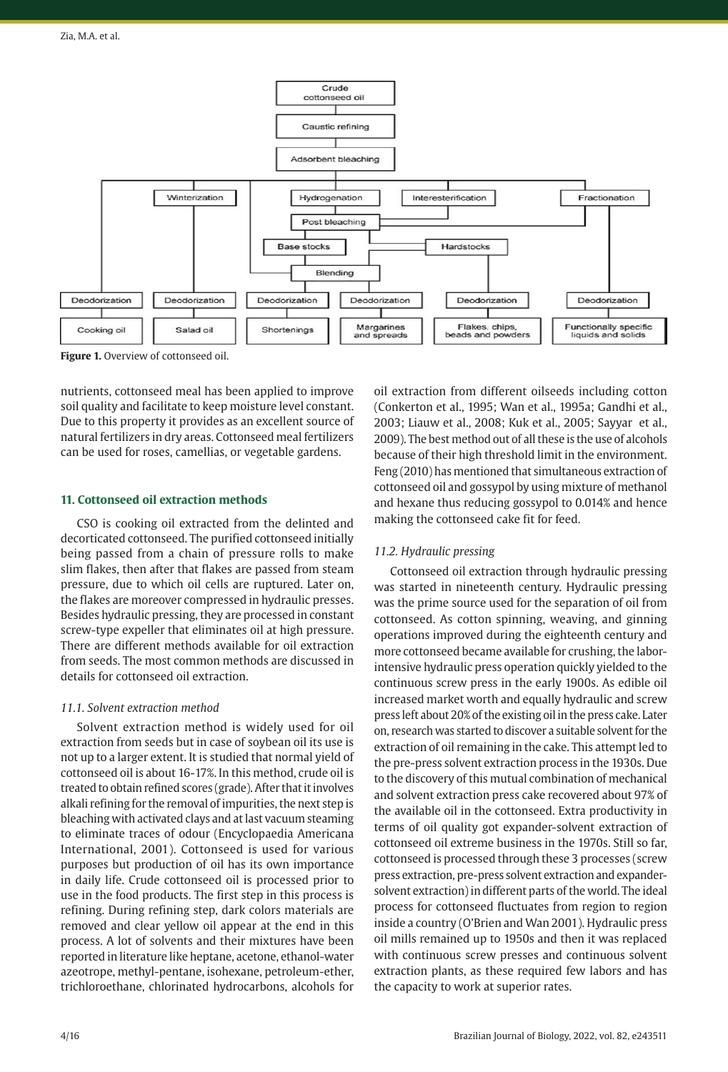

**Figure 1.** Overview of cottonseed oil.

nutrients, cottonseed meal has been applied to improve soil quality and facilitate to keep moisture level constant. Due to this property it provides as an excellent source of natural fertilizers in dry areas. Cottonseed meal fertilizers can be used for roses, camellias, or vegetable gardens.

# **11. Cottonseed oil extraction methods**

CSO is cooking oil extracted from the delinted and decorticated cottonseed. The purified cottonseed initially being passed from a chain of pressure rolls to make slim flakes, then after that flakes are passed from steam pressure, due to which oil cells are ruptured. Later on, the flakes are moreover compressed in hydraulic presses. Besides hydraulic pressing, they are processed in constant screw-type expeller that eliminates oil at high pressure. There are different methods available for oil extraction from seeds. The most common methods are discussed in details for cottonseed oil extraction.

## *11.1. Solvent extraction method*

Solvent extraction method is widely used for oil extraction from seeds but in case of soybean oil its use is not up to a larger extent. It is studied that normal yield of cottonseed oil is about 16-17%. In this method, crude oil is treated to obtain refined scores (grade). After that it involves alkali refining for the removal of impurities, the next step is bleaching with activated clays and at last vacuum steaming to eliminate traces of odour (Encyclopaedia Americana International, 2001). Cottonseed is used for various purposes but production of oil has its own importance in daily life. Crude cottonseed oil is processed prior to use in the food products. The first step in this process is refining. During refining step, dark colors materials are removed and clear yellow oil appear at the end in this process. A lot of solvents and their mixtures have been reported in literature like heptane, acetone, ethanol-water azeotrope, methyl-pentane, isohexane, petroleum-ether, trichloroethane, chlorinated hydrocarbons, alcohols for

oil extraction from different oilseeds including cotton (Conkerton et al., 1995; Wan et al., 1995a; Gandhi et al., 2003; Liauw et al., 2008; Kuk et al., 2005; Sayyar et al., 2009). The best method out of all these is the use of alcohols because of their high threshold limit in the environment. Feng (2010) has mentioned that simultaneous extraction of cottonseed oil and gossypol by using mixture of methanol and hexane thus reducing gossypol to 0.014% and hence making the cottonseed cake fit for feed.

# *11.2. Hydraulic pressing*

Cottonseed oil extraction through hydraulic pressing was started in nineteenth century. Hydraulic pressing was the prime source used for the separation of oil from cottonseed. As cotton spinning, weaving, and ginning operations improved during the eighteenth century and more cottonseed became available for crushing, the laborintensive hydraulic press operation quickly yielded to the continuous screw press in the early 1900s. As edible oil increased market worth and equally hydraulic and screw press left about 20% of the existing oil in the press cake. Later on, research was started to discover a suitable solvent for the extraction of oil remaining in the cake. This attempt led to the pre-press solvent extraction process in the 1930s. Due to the discovery of this mutual combination of mechanical and solvent extraction press cake recovered about 97% of the available oil in the cottonseed. Extra productivity in terms of oil quality got expander-solvent extraction of cottonseed oil extreme business in the 1970s. Still so far, cottonseed is processed through these 3 processes (screw press extraction, pre-press solvent extraction and expandersolvent extraction) in different parts of the world. The ideal process for cottonseed fluctuates from region to region inside a country (O'Brien and Wan 2001). Hydraulic press oil mills remained up to 1950s and then it was replaced with continuous screw presses and continuous solvent extraction plants, as these required few labors and has the capacity to work at superior rates.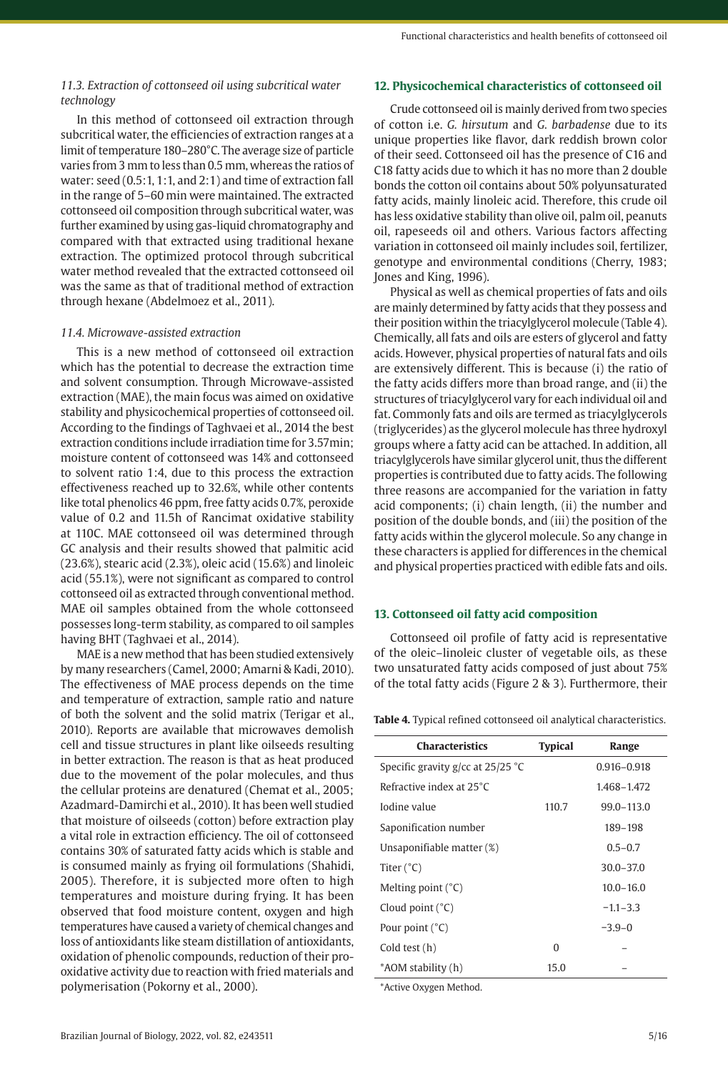# *11.3. Extraction of cottonseed oil using subcritical water technology*

In this method of cottonseed oil extraction through subcritical water, the efficiencies of extraction ranges at a limit of temperature 180–280°C. The average size of particle varies from 3 mm to less than 0.5 mm, whereas the ratios of water: seed (0.5:1, 1:1, and 2:1) and time of extraction fall in the range of 5–60 min were maintained. The extracted cottonseed oil composition through subcritical water, was further examined by using gas-liquid chromatography and compared with that extracted using traditional hexane extraction. The optimized protocol through subcritical water method revealed that the extracted cottonseed oil was the same as that of traditional method of extraction through hexane (Abdelmoez et al., 2011).

## *11.4. Microwave-assisted extraction*

This is a new method of cottonseed oil extraction which has the potential to decrease the extraction time and solvent consumption. Through Microwave-assisted extraction (MAE), the main focus was aimed on oxidative stability and physicochemical properties of cottonseed oil. According to the findings of Taghvaei et al., 2014 the best extraction conditions include irradiation time for 3.57min; moisture content of cottonseed was 14% and cottonseed to solvent ratio 1:4, due to this process the extraction effectiveness reached up to 32.6%, while other contents like total phenolics 46 ppm, free fatty acids 0.7%, peroxide value of 0.2 and 11.5h of Rancimat oxidative stability at 110C. MAE cottonseed oil was determined through GC analysis and their results showed that palmitic acid (23.6%), stearic acid (2.3%), oleic acid (15.6%) and linoleic acid (55.1%), were not significant as compared to control cottonseed oil as extracted through conventional method. MAE oil samples obtained from the whole cottonseed possesses long-term stability, as compared to oil samples having BHT (Taghvaei et al., 2014).

MAE is a new method that has been studied extensively by many researchers (Camel, 2000; Amarni & Kadi, 2010). The effectiveness of MAE process depends on the time and temperature of extraction, sample ratio and nature of both the solvent and the solid matrix (Terigar et al., 2010). Reports are available that microwaves demolish cell and tissue structures in plant like oilseeds resulting in better extraction. The reason is that as heat produced due to the movement of the polar molecules, and thus the cellular proteins are denatured (Chemat et al., 2005; Azadmard-Damirchi et al., 2010). It has been well studied that moisture of oilseeds (cotton) before extraction play a vital role in extraction efficiency. The oil of cottonseed contains 30% of saturated fatty acids which is stable and is consumed mainly as frying oil formulations (Shahidi, 2005). Therefore, it is subjected more often to high temperatures and moisture during frying. It has been observed that food moisture content, oxygen and high temperatures have caused a variety of chemical changes and loss of antioxidants like steam distillation of antioxidants, oxidation of phenolic compounds, reduction of their prooxidative activity due to reaction with fried materials and polymerisation (Pokorny et al., 2000).

## **12. Physicochemical characteristics of cottonseed oil**

Crude cottonseed oil is mainly derived from two species of cotton i.e. *G. hirsutum* and *G. barbadense* due to its unique properties like flavor, dark reddish brown color of their seed. Cottonseed oil has the presence of C16 and C18 fatty acids due to which it has no more than 2 double bonds the cotton oil contains about 50% polyunsaturated fatty acids, mainly linoleic acid. Therefore, this crude oil has less oxidative stability than olive oil, palm oil, peanuts oil, rapeseeds oil and others. Various factors affecting variation in cottonseed oil mainly includes soil, fertilizer, genotype and environmental conditions (Cherry, 1983; Jones and King, 1996).

Physical as well as chemical properties of fats and oils are mainly determined by fatty acids that they possess and their position within the triacylglycerol molecule (Table 4). Chemically, all fats and oils are esters of glycerol and fatty acids. However, physical properties of natural fats and oils are extensively different. This is because (i) the ratio of the fatty acids differs more than broad range, and (ii) the structures of triacylglycerol vary for each individual oil and fat. Commonly fats and oils are termed as triacylglycerols (triglycerides) as the glycerol molecule has three hydroxyl groups where a fatty acid can be attached. In addition, all triacylglycerols have similar glycerol unit, thus the different properties is contributed due to fatty acids. The following three reasons are accompanied for the variation in fatty acid components; (i) chain length, (ii) the number and position of the double bonds, and (iii) the position of the fatty acids within the glycerol molecule. So any change in these characters is applied for differences in the chemical and physical properties practiced with edible fats and oils.

## **13. Cottonseed oil fatty acid composition**

Cottonseed oil profile of fatty acid is representative of the oleic–linoleic cluster of vegetable oils, as these two unsaturated fatty acids composed of just about 75% of the total fatty acids (Figure 2 & 3). Furthermore, their

| <b>Characteristics</b>              | <b>Typical</b> | Range          |
|-------------------------------------|----------------|----------------|
| Specific gravity g/cc at $25/25$ °C |                | 0.916-0.918    |
| Refractive index at 25°C            |                | 1.468-1.472    |
| Iodine value                        | 110.7          | $99.0 - 113.0$ |
| Saponification number               |                | 189-198        |
| Unsaponifiable matter (%)           |                | $0.5 - 0.7$    |
| Titer $(^{\circ}C)$                 |                | $30.0 - 37.0$  |
| Melting point $(^{\circ}C)$         |                | $10.0 - 16.0$  |
| Cloud point $(^{\circ}C)$           |                | $-1.1 - 3.3$   |
| Pour point $(^{\circ}C)$            |                | $-3.9-0$       |
| Cold test (h)                       | $\Omega$       |                |
| *AOM stability (h)                  | 15.0           |                |
|                                     |                |                |

**Table 4.** Typical refined cottonseed oil analytical characteristics.

\*Active Oxygen Method.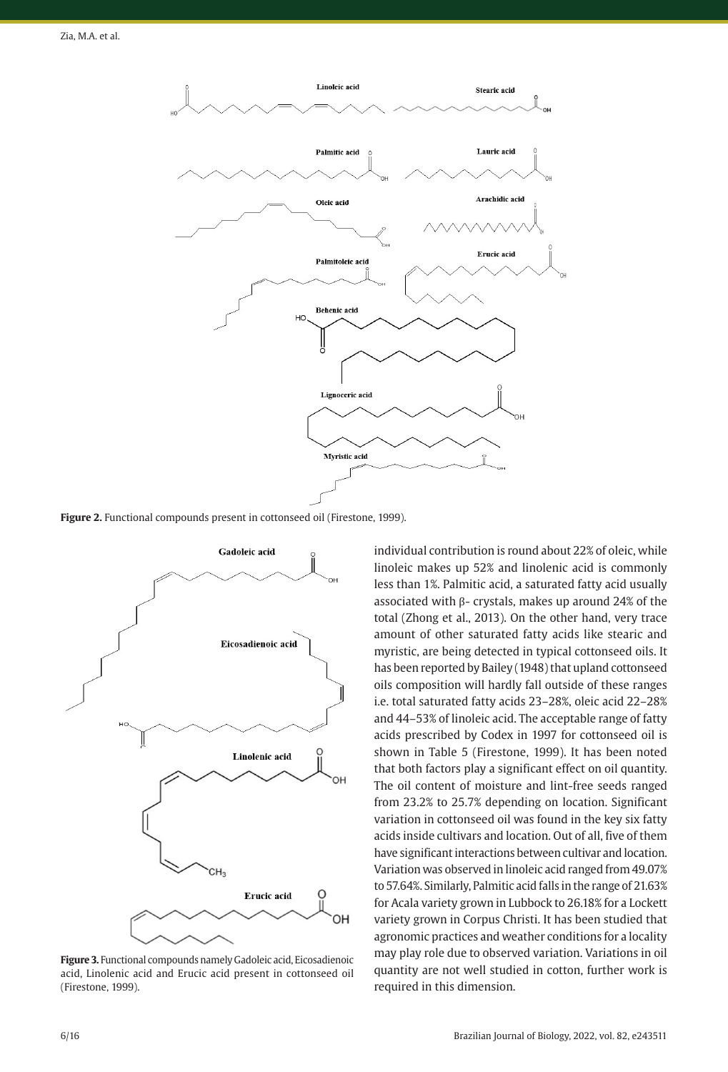

**Figure 2.** Functional compounds present in cottonseed oil (Firestone, 1999).



**Figure 3.** Functional compounds namely Gadoleic acid, Eicosadienoic acid, Linolenic acid and Erucic acid present in cottonseed oil (Firestone, 1999).

individual contribution is round about 22% of oleic, while linoleic makes up 52% and linolenic acid is commonly less than 1%. Palmitic acid, a saturated fatty acid usually associated with β- crystals, makes up around 24% of the total (Zhong et al., 2013). On the other hand, very trace amount of other saturated fatty acids like stearic and myristic, are being detected in typical cottonseed oils. It has been reported by Bailey (1948) that upland cottonseed oils composition will hardly fall outside of these ranges i.e. total saturated fatty acids 23–28%, oleic acid 22–28% and 44–53% of linoleic acid. The acceptable range of fatty acids prescribed by Codex in 1997 for cottonseed oil is shown in Table 5 (Firestone, 1999). It has been noted that both factors play a significant effect on oil quantity. The oil content of moisture and lint-free seeds ranged from 23.2% to 25.7% depending on location. Significant variation in cottonseed oil was found in the key six fatty acids inside cultivars and location. Out of all, five of them have significant interactions between cultivar and location. Variation was observed in linoleic acid ranged from 49.07% to 57.64%. Similarly, Palmitic acid falls in the range of 21.63% for Acala variety grown in Lubbock to 26.18% for a Lockett variety grown in Corpus Christi. It has been studied that agronomic practices and weather conditions for a locality may play role due to observed variation. Variations in oil quantity are not well studied in cotton, further work is required in this dimension.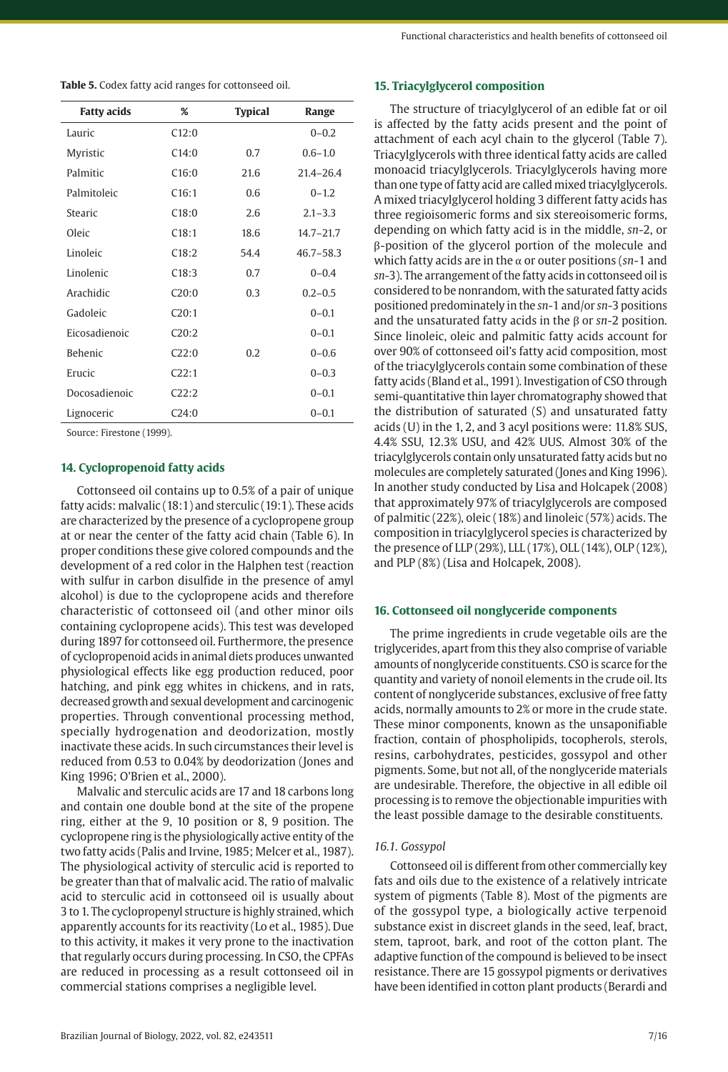**Table 5.** Codex fatty acid ranges for cottonseed oil.

| <b>Fatty acids</b> | %     | <b>Typical</b> | Range         |
|--------------------|-------|----------------|---------------|
| Lauric             | C12:0 |                | $0 - 0.2$     |
| Myristic           | C14:0 | 0.7            | $0.6 - 1.0$   |
| Palmitic           | C16:0 | 21.6           | $214 - 264$   |
| Palmitoleic        | C16:1 | 0.6            | $0 - 1.2$     |
| Stearic            | C18:0 | 2.6            | $2.1 - 3.3$   |
| Oleic              | C18:1 | 18.6           | $14.7 - 21.7$ |
| Linoleic           | C18:2 | 544            | $46.7 - 58.3$ |
| Linolenic          | C18:3 | 0.7            | $0 - 0.4$     |
| Arachidic          | C20:0 | 0.3            | $0.2 - 0.5$   |
| Gadoleic           | C20:1 |                | $0 - 0.1$     |
| Eicosadienoic      | C20:2 |                | $0 - 0.1$     |
| <b>Behenic</b>     | C22:0 | 0.2            | $0 - 0.6$     |
| Erucic             | C22:1 |                | $0 - 0.3$     |
| Docosadienoic      | C22:2 |                | $0 - 0.1$     |
| Lignoceric         | C24:0 |                | $0 - 0.1$     |

Source: Firestone (1999).

#### **14. Cyclopropenoid fatty acids**

Cottonseed oil contains up to 0.5% of a pair of unique fatty acids: malvalic (18:1) and sterculic (19:1). These acids are characterized by the presence of a cyclopropene group at or near the center of the fatty acid chain (Table 6). In proper conditions these give colored compounds and the development of a red color in the Halphen test (reaction with sulfur in carbon disulfide in the presence of amyl alcohol) is due to the cyclopropene acids and therefore characteristic of cottonseed oil (and other minor oils containing cyclopropene acids). This test was developed during 1897 for cottonseed oil. Furthermore, the presence of cyclopropenoid acids in animal diets produces unwanted physiological effects like egg production reduced, poor hatching, and pink egg whites in chickens, and in rats, decreased growth and sexual development and carcinogenic properties. Through conventional processing method, specially hydrogenation and deodorization, mostly inactivate these acids. In such circumstances their level is reduced from 0.53 to 0.04% by deodorization (Jones and King 1996; O'Brien et al., 2000).

Malvalic and sterculic acids are 17 and 18 carbons long and contain one double bond at the site of the propene ring, either at the 9, 10 position or 8, 9 position. The cyclopropene ring is the physiologically active entity of the two fatty acids (Palis and Irvine, 1985; Melcer et al., 1987). The physiological activity of sterculic acid is reported to be greater than that of malvalic acid. The ratio of malvalic acid to sterculic acid in cottonseed oil is usually about 3 to 1. The cyclopropenyl structure is highly strained, which apparently accounts for its reactivity (Lo et al., 1985). Due to this activity, it makes it very prone to the inactivation that regularly occurs during processing. In CSO, the CPFAs are reduced in processing as a result cottonseed oil in commercial stations comprises a negligible level.

#### **15. Triacylglycerol composition**

The structure of triacylglycerol of an edible fat or oil is affected by the fatty acids present and the point of attachment of each acyl chain to the glycerol (Table 7). Triacylglycerols with three identical fatty acids are called monoacid triacylglycerols. Triacylglycerols having more than one type of fatty acid are called mixed triacylglycerols. A mixed triacylglycerol holding 3 different fatty acids has three regioisomeric forms and six stereoisomeric forms, depending on which fatty acid is in the middle, *sn*-2, or β-position of the glycerol portion of the molecule and which fatty acids are in the α or outer positions (*sn*-1 and *sn*-3). The arrangement of the fatty acids in cottonseed oil is considered to be nonrandom, with the saturated fatty acids positioned predominately in the *sn*-1 and/or *sn*-3 positions and the unsaturated fatty acids in the β or *sn*-2 position. Since linoleic, oleic and palmitic fatty acids account for over 90% of cottonseed oil's fatty acid composition, most of the triacylglycerols contain some combination of these fatty acids (Bland et al., 1991). Investigation of CSO through semi-quantitative thin layer chromatography showed that the distribution of saturated (S) and unsaturated fatty acids (U) in the 1, 2, and 3 acyl positions were: 11.8% SUS, 4.4% SSU, 12.3% USU, and 42% UUS. Almost 30% of the triacylglycerols contain only unsaturated fatty acids but no molecules are completely saturated (Jones and King 1996). In another study conducted by Lisa and Holcapek (2008) that approximately 97% of triacylglycerols are composed of palmitic (22%), oleic (18%) and linoleic (57%) acids. The composition in triacylglycerol species is characterized by the presence of LLP (29%), LLL (17%), OLL (14%), OLP (12%), and PLP (8%) (Lisa and Holcapek, 2008).

#### **16. Cottonseed oil nonglyceride components**

The prime ingredients in crude vegetable oils are the triglycerides, apart from this they also comprise of variable amounts of nonglyceride constituents. CSO is scarce for the quantity and variety of nonoil elements in the crude oil. Its content of nonglyceride substances, exclusive of free fatty acids, normally amounts to 2% or more in the crude state. These minor components, known as the unsaponifiable fraction, contain of phospholipids, tocopherols, sterols, resins, carbohydrates, pesticides, gossypol and other pigments. Some, but not all, of the nonglyceride materials are undesirable. Therefore, the objective in all edible oil processing is to remove the objectionable impurities with the least possible damage to the desirable constituents.

# *16.1. Gossypol*

Cottonseed oil is different from other commercially key fats and oils due to the existence of a relatively intricate system of pigments (Table 8). Most of the pigments are of the gossypol type, a biologically active terpenoid substance exist in discreet glands in the seed, leaf, bract, stem, taproot, bark, and root of the cotton plant. The adaptive function of the compound is believed to be insect resistance. There are 15 gossypol pigments or derivatives have been identified in cotton plant products (Berardi and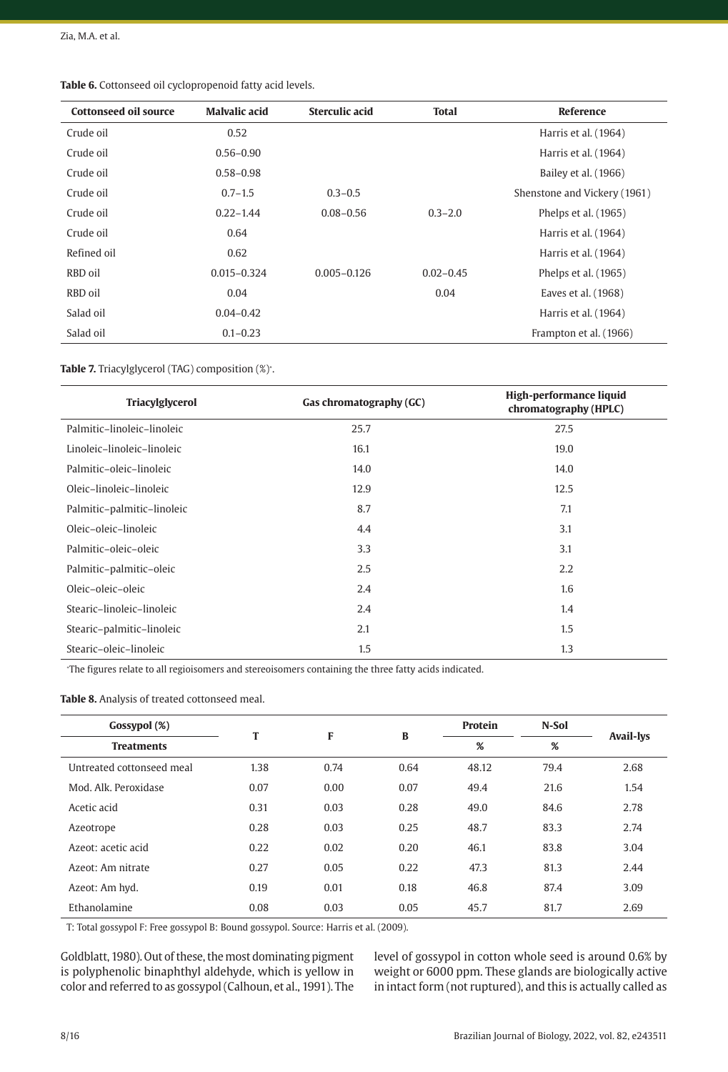| <b>Cottonseed oil source</b> | <b>Malvalic acid</b> | Sterculic acid  | <b>Total</b>  | Reference                    |
|------------------------------|----------------------|-----------------|---------------|------------------------------|
|                              |                      |                 |               |                              |
| Crude oil                    | 0.52                 |                 |               | Harris et al. (1964)         |
| Crude oil                    | $0.56 - 0.90$        |                 |               | Harris et al. (1964)         |
| Crude oil                    | $0.58 - 0.98$        |                 |               | Bailey et al. (1966)         |
| Crude oil                    | $0.7 - 1.5$          | $0.3 - 0.5$     |               | Shenstone and Vickery (1961) |
| Crude oil                    | $0.22 - 1.44$        | $0.08 - 0.56$   | $0.3 - 2.0$   | Phelps et al. (1965)         |
| Crude oil                    | 0.64                 |                 |               | Harris et al. (1964)         |
| Refined oil                  | 0.62                 |                 |               | Harris et al. (1964)         |
| RBD oil                      | $0.015 - 0.324$      | $0.005 - 0.126$ | $0.02 - 0.45$ | Phelps et al. (1965)         |
| RBD oil                      | 0.04                 |                 | 0.04          | Eaves et al. (1968)          |
| Salad oil                    | $0.04 - 0.42$        |                 |               | Harris et al. (1964)         |
| Salad oil                    | $0.1 - 0.23$         |                 |               | Frampton et al. (1966)       |

**Table 6.** Cottonseed oil cyclopropenoid fatty acid levels.

#### **Table 7.** Triacylglycerol (TAG) composition (%)<sup>∗</sup> .

| Triacylglycerol            | Gas chromatography (GC) | High-performance liquid<br>chromatography (HPLC) |
|----------------------------|-------------------------|--------------------------------------------------|
| Palmitic-linoleic-linoleic | 25.7                    | 27.5                                             |
| Linoleic-linoleic-linoleic | 16.1                    | 19.0                                             |
| Palmitic-oleic-linoleic    | 14.0                    | 14.0                                             |
| Oleic-linoleic-linoleic    | 12.9                    | 12.5                                             |
| Palmitic-palmitic-linoleic | 8.7                     | 7.1                                              |
| Oleic-oleic-linoleic       | 4.4                     | 3.1                                              |
| Palmitic-oleic-oleic       | 3.3                     | 3.1                                              |
| Palmitic-palmitic-oleic    | 2.5                     | 2.2                                              |
| Oleic-oleic-oleic          | 2.4                     | 1.6                                              |
| Stearic-linoleic-linoleic  | 2.4                     | 1.4                                              |
| Stearic-palmitic-linoleic  | 2.1                     | 1.5                                              |
| Stearic-oleic-linoleic     | 1.5                     | 1.3                                              |

∗ The figures relate to all regioisomers and stereoisomers containing the three fatty acids indicated.

## **Table 8.** Analysis of treated cottonseed meal.

| Gossypol (%)              | т    |      | B    | Protein | N-Sol |                  |
|---------------------------|------|------|------|---------|-------|------------------|
| <b>Treatments</b>         |      | F    |      | %       | %     | <b>Avail-lys</b> |
| Untreated cottonseed meal | 1.38 | 0.74 | 0.64 | 48.12   | 79.4  | 2.68             |
| Mod. Alk. Peroxidase      | 0.07 | 0.00 | 0.07 | 49.4    | 21.6  | 1.54             |
| Acetic acid               | 0.31 | 0.03 | 0.28 | 49.0    | 84.6  | 2.78             |
| Azeotrope                 | 0.28 | 0.03 | 0.25 | 48.7    | 83.3  | 2.74             |
| Azeot: acetic acid        | 0.22 | 0.02 | 0.20 | 46.1    | 83.8  | 3.04             |
| Azeot: Am nitrate         | 0.27 | 0.05 | 0.22 | 47.3    | 81.3  | 2.44             |
| Azeot: Am hyd.            | 0.19 | 0.01 | 0.18 | 46.8    | 87.4  | 3.09             |
| Ethanolamine              | 0.08 | 0.03 | 0.05 | 45.7    | 81.7  | 2.69             |

T: Total gossypol F: Free gossypol B: Bound gossypol. Source: Harris et al. (2009).

Goldblatt, 1980). Out of these, the most dominating pigment is polyphenolic binaphthyl aldehyde, which is yellow in color and referred to as gossypol (Calhoun, et al., 1991). The level of gossypol in cotton whole seed is around 0.6% by weight or 6000 ppm. These glands are biologically active in intact form (not ruptured), and this is actually called as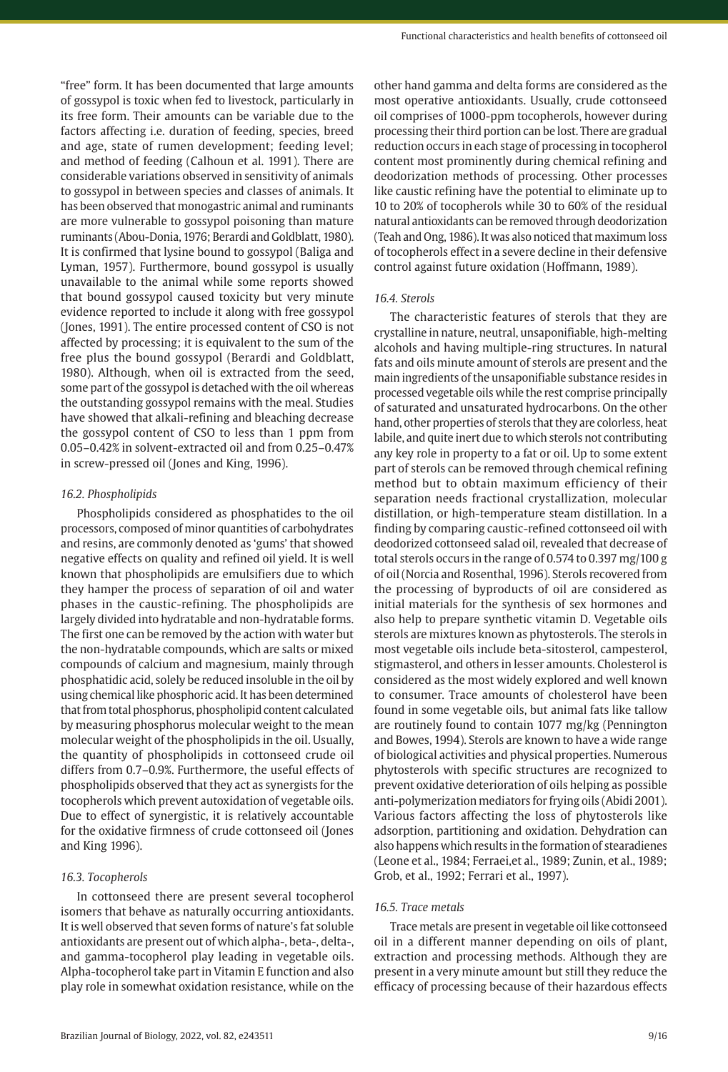"free" form. It has been documented that large amounts of gossypol is toxic when fed to livestock, particularly in its free form. Their amounts can be variable due to the factors affecting i.e. duration of feeding, species, breed and age, state of rumen development; feeding level; and method of feeding (Calhoun et al. 1991). There are considerable variations observed in sensitivity of animals to gossypol in between species and classes of animals. It has been observed that monogastric animal and ruminants are more vulnerable to gossypol poisoning than mature ruminants (Abou-Donia, 1976; Berardi and Goldblatt, 1980). It is confirmed that lysine bound to gossypol (Baliga and Lyman, 1957). Furthermore, bound gossypol is usually unavailable to the animal while some reports showed that bound gossypol caused toxicity but very minute evidence reported to include it along with free gossypol (Jones, 1991). The entire processed content of CSO is not affected by processing; it is equivalent to the sum of the free plus the bound gossypol (Berardi and Goldblatt, 1980). Although, when oil is extracted from the seed, some part of the gossypol is detached with the oil whereas the outstanding gossypol remains with the meal. Studies have showed that alkali-refining and bleaching decrease the gossypol content of CSO to less than 1 ppm from 0.05–0.42% in solvent-extracted oil and from 0.25–0.47% in screw-pressed oil (Jones and King, 1996).

# *16.2. Phospholipids*

Phospholipids considered as phosphatides to the oil processors, composed of minor quantities of carbohydrates and resins, are commonly denoted as 'gums' that showed negative effects on quality and refined oil yield. It is well known that phospholipids are emulsifiers due to which they hamper the process of separation of oil and water phases in the caustic-refining. The phospholipids are largely divided into hydratable and non-hydratable forms. The first one can be removed by the action with water but the non-hydratable compounds, which are salts or mixed compounds of calcium and magnesium, mainly through phosphatidic acid, solely be reduced insoluble in the oil by using chemical like phosphoric acid. It has been determined that from total phosphorus, phospholipid content calculated by measuring phosphorus molecular weight to the mean molecular weight of the phospholipids in the oil. Usually, the quantity of phospholipids in cottonseed crude oil differs from 0.7–0.9%. Furthermore, the useful effects of phospholipids observed that they act as synergists for the tocopherols which prevent autoxidation of vegetable oils. Due to effect of synergistic, it is relatively accountable for the oxidative firmness of crude cottonseed oil (Jones and King 1996).

## *16.3. Tocopherols*

In cottonseed there are present several tocopherol isomers that behave as naturally occurring antioxidants. It is well observed that seven forms of nature's fat soluble antioxidants are present out of which alpha-, beta-, delta-, and gamma-tocopherol play leading in vegetable oils. Alpha-tocopherol take part in Vitamin E function and also play role in somewhat oxidation resistance, while on the

other hand gamma and delta forms are considered as the most operative antioxidants. Usually, crude cottonseed oil comprises of 1000-ppm tocopherols, however during processing their third portion can be lost. There are gradual reduction occurs in each stage of processing in tocopherol content most prominently during chemical refining and deodorization methods of processing. Other processes like caustic refining have the potential to eliminate up to 10 to 20% of tocopherols while 30 to 60% of the residual natural antioxidants can be removed through deodorization (Teah and Ong, 1986). It was also noticed that maximum loss of tocopherols effect in a severe decline in their defensive control against future oxidation (Hoffmann, 1989).

# *16.4. Sterols*

The characteristic features of sterols that they are crystalline in nature, neutral, unsaponifiable, high-melting alcohols and having multiple-ring structures. In natural fats and oils minute amount of sterols are present and the main ingredients of the unsaponifiable substance resides in processed vegetable oils while the rest comprise principally of saturated and unsaturated hydrocarbons. On the other hand, other properties of sterols that they are colorless, heat labile, and quite inert due to which sterols not contributing any key role in property to a fat or oil. Up to some extent part of sterols can be removed through chemical refining method but to obtain maximum efficiency of their separation needs fractional crystallization, molecular distillation, or high-temperature steam distillation. In a finding by comparing caustic-refined cottonseed oil with deodorized cottonseed salad oil, revealed that decrease of total sterols occurs in the range of 0.574 to 0.397 mg/100 g of oil (Norcia and Rosenthal, 1996). Sterols recovered from the processing of byproducts of oil are considered as initial materials for the synthesis of sex hormones and also help to prepare synthetic vitamin D. Vegetable oils sterols are mixtures known as phytosterols. The sterols in most vegetable oils include beta-sitosterol, campesterol, stigmasterol, and others in lesser amounts. Cholesterol is considered as the most widely explored and well known to consumer. Trace amounts of cholesterol have been found in some vegetable oils, but animal fats like tallow are routinely found to contain 1077 mg/kg (Pennington and Bowes, 1994). Sterols are known to have a wide range of biological activities and physical properties. Numerous phytosterols with specific structures are recognized to prevent oxidative deterioration of oils helping as possible anti-polymerization mediators for frying oils (Abidi 2001). Various factors affecting the loss of phytosterols like adsorption, partitioning and oxidation. Dehydration can also happens which results in the formation of stearadienes (Leone et al., 1984; Ferraei,et al., 1989; Zunin, et al., 1989; Grob, et al., 1992; Ferrari et al., 1997).

## *16.5. Trace metals*

Trace metals are present in vegetable oil like cottonseed oil in a different manner depending on oils of plant, extraction and processing methods. Although they are present in a very minute amount but still they reduce the efficacy of processing because of their hazardous effects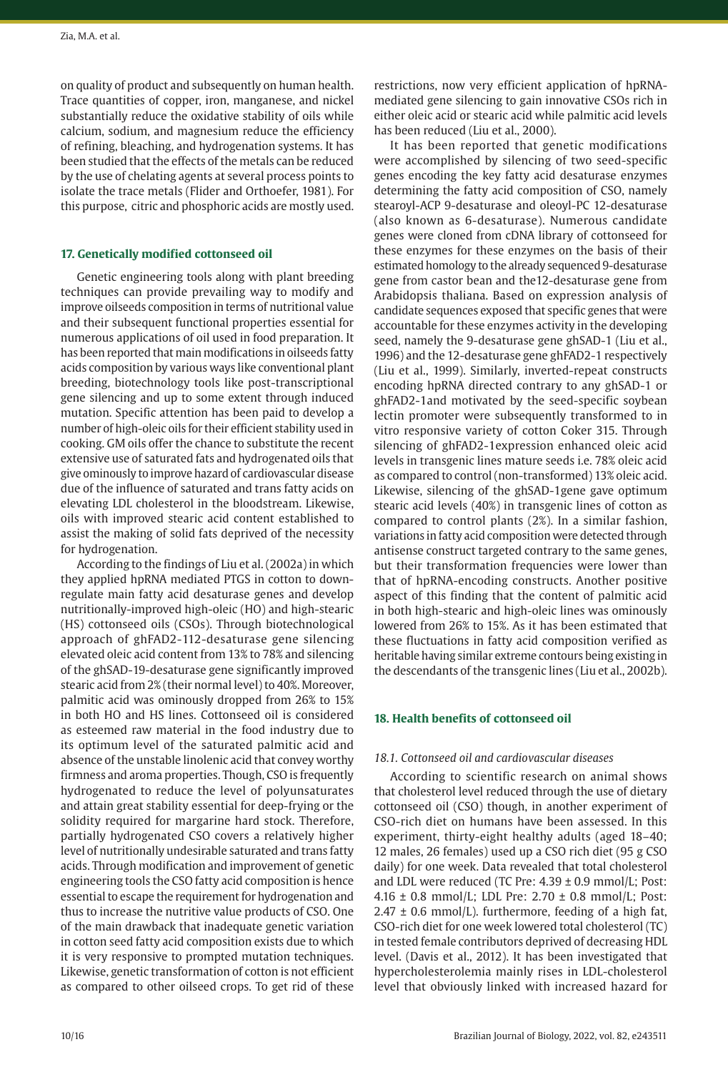on quality of product and subsequently on human health. Trace quantities of copper, iron, manganese, and nickel substantially reduce the oxidative stability of oils while calcium, sodium, and magnesium reduce the efficiency of refining, bleaching, and hydrogenation systems. It has been studied that the effects of the metals can be reduced by the use of chelating agents at several process points to isolate the trace metals (Flider and Orthoefer, 1981). For this purpose, citric and phosphoric acids are mostly used.

# **17. Genetically modified cottonseed oil**

Genetic engineering tools along with plant breeding techniques can provide prevailing way to modify and improve oilseeds composition in terms of nutritional value and their subsequent functional properties essential for numerous applications of oil used in food preparation. It has been reported that main modifications in oilseeds fatty acids composition by various ways like conventional plant breeding, biotechnology tools like post-transcriptional gene silencing and up to some extent through induced mutation. Specific attention has been paid to develop a number of high-oleic oils for their efficient stability used in cooking. GM oils offer the chance to substitute the recent extensive use of saturated fats and hydrogenated oils that give ominously to improve hazard of cardiovascular disease due of the influence of saturated and trans fatty acids on elevating LDL cholesterol in the bloodstream. Likewise, oils with improved stearic acid content established to assist the making of solid fats deprived of the necessity for hydrogenation.

According to the findings of Liu et al. (2002a) in which they applied hpRNA mediated PTGS in cotton to downregulate main fatty acid desaturase genes and develop nutritionally-improved high-oleic (HO) and high-stearic (HS) cottonseed oils (CSOs). Through biotechnological approach of ghFAD2-112-desaturase gene silencing elevated oleic acid content from 13% to 78% and silencing of the ghSAD-19-desaturase gene significantly improved stearic acid from 2% (their normal level) to 40%. Moreover, palmitic acid was ominously dropped from 26% to 15% in both HO and HS lines. Cottonseed oil is considered as esteemed raw material in the food industry due to its optimum level of the saturated palmitic acid and absence of the unstable linolenic acid that convey worthy firmness and aroma properties. Though, CSO is frequently hydrogenated to reduce the level of polyunsaturates and attain great stability essential for deep-frying or the solidity required for margarine hard stock. Therefore, partially hydrogenated CSO covers a relatively higher level of nutritionally undesirable saturated and trans fatty acids. Through modification and improvement of genetic engineering tools the CSO fatty acid composition is hence essential to escape the requirement for hydrogenation and thus to increase the nutritive value products of CSO. One of the main drawback that inadequate genetic variation in cotton seed fatty acid composition exists due to which it is very responsive to prompted mutation techniques. Likewise, genetic transformation of cotton is not efficient as compared to other oilseed crops. To get rid of these

restrictions, now very efficient application of hpRNAmediated gene silencing to gain innovative CSOs rich in either oleic acid or stearic acid while palmitic acid levels has been reduced (Liu et al., 2000).

It has been reported that genetic modifications were accomplished by silencing of two seed-specific genes encoding the key fatty acid desaturase enzymes determining the fatty acid composition of CSO, namely stearoyl-ACP 9-desaturase and oleoyl-PC 12-desaturase (also known as 6-desaturase). Numerous candidate genes were cloned from cDNA library of cottonseed for these enzymes for these enzymes on the basis of their estimated homology to the already sequenced 9-desaturase gene from castor bean and the12-desaturase gene from Arabidopsis thaliana. Based on expression analysis of candidate sequences exposed that specific genes that were accountable for these enzymes activity in the developing seed, namely the 9-desaturase gene ghSAD-1 (Liu et al., 1996) and the 12-desaturase gene ghFAD2-1 respectively (Liu et al., 1999). Similarly, inverted-repeat constructs encoding hpRNA directed contrary to any ghSAD-1 or ghFAD2-1and motivated by the seed-specific soybean lectin promoter were subsequently transformed to in vitro responsive variety of cotton Coker 315. Through silencing of ghFAD2-1expression enhanced oleic acid levels in transgenic lines mature seeds i.e. 78% oleic acid as compared to control (non-transformed) 13% oleic acid. Likewise, silencing of the ghSAD-1gene gave optimum stearic acid levels (40%) in transgenic lines of cotton as compared to control plants (2%). In a similar fashion, variations in fatty acid composition were detected through antisense construct targeted contrary to the same genes, but their transformation frequencies were lower than that of hpRNA-encoding constructs. Another positive aspect of this finding that the content of palmitic acid in both high-stearic and high-oleic lines was ominously lowered from 26% to 15%. As it has been estimated that these fluctuations in fatty acid composition verified as heritable having similar extreme contours being existing in the descendants of the transgenic lines (Liu et al., 2002b).

## **18. Health benefits of cottonseed oil**

## *18.1. Cottonseed oil and cardiovascular diseases*

According to scientific research on animal shows that cholesterol level reduced through the use of dietary cottonseed oil (CSO) though, in another experiment of CSO-rich diet on humans have been assessed. In this experiment, thirty-eight healthy adults (aged 18–40; 12 males, 26 females) used up a CSO rich diet (95 g CSO daily) for one week. Data revealed that total cholesterol and LDL were reduced (TC Pre: 4.39 ± 0.9 mmol/L; Post: 4.16 ± 0.8 mmol/L; LDL Pre: 2.70 ± 0.8 mmol/L; Post:  $2.47 \pm 0.6$  mmol/L). furthermore, feeding of a high fat, CSO-rich diet for one week lowered total cholesterol (TC) in tested female contributors deprived of decreasing HDL level. (Davis et al., 2012). It has been investigated that hypercholesterolemia mainly rises in LDL-cholesterol level that obviously linked with increased hazard for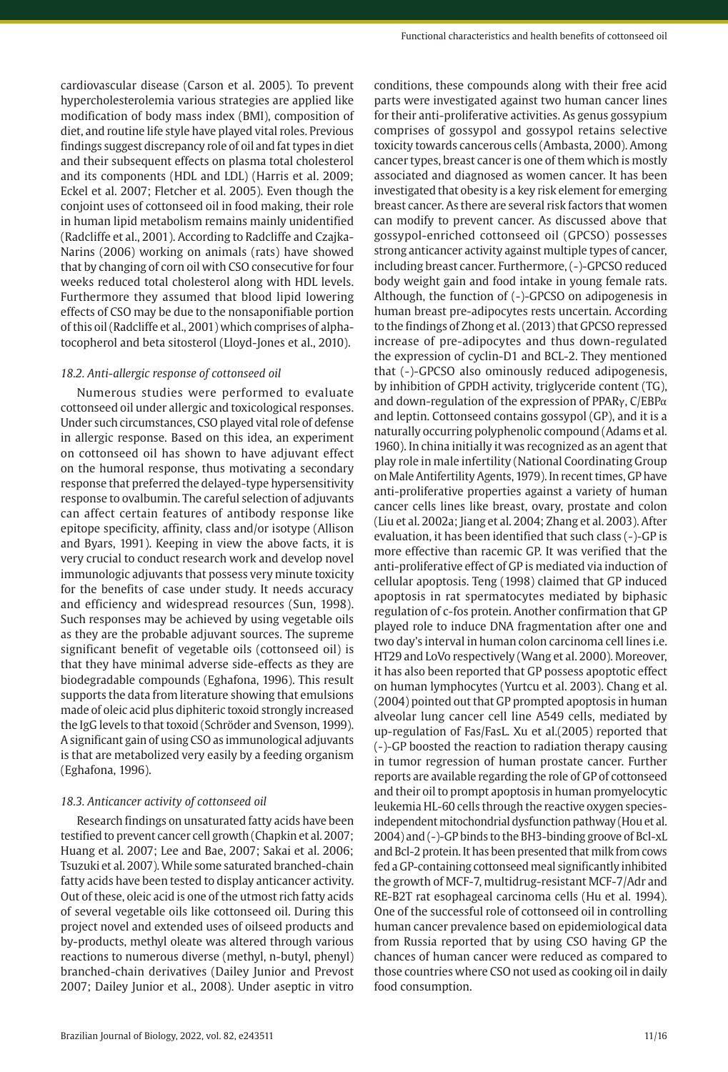cardiovascular disease (Carson et al. 2005). To prevent hypercholesterolemia various strategies are applied like modification of body mass index (BMI), composition of diet, and routine life style have played vital roles. Previous findings suggest discrepancy role of oil and fat types in diet and their subsequent effects on plasma total cholesterol and its components (HDL and LDL) (Harris et al. 2009; Eckel et al. 2007; Fletcher et al. 2005). Even though the conjoint uses of cottonseed oil in food making, their role in human lipid metabolism remains mainly unidentified (Radcliffe et al., 2001). According to Radcliffe and Czajka-Narins (2006) working on animals (rats) have showed that by changing of corn oil with CSO consecutive for four weeks reduced total cholesterol along with HDL levels. Furthermore they assumed that blood lipid lowering effects of CSO may be due to the nonsaponifiable portion of this oil (Radcliffe et al., 2001) which comprises of alphatocopherol and beta sitosterol (Lloyd-Jones et al., 2010).

# *18.2. Anti-allergic response of cottonseed oil*

Numerous studies were performed to evaluate cottonseed oil under allergic and toxicological responses. Under such circumstances, CSO played vital role of defense in allergic response. Based on this idea, an experiment on cottonseed oil has shown to have adjuvant effect on the humoral response, thus motivating a secondary response that preferred the delayed-type hypersensitivity response to ovalbumin. The careful selection of adjuvants can affect certain features of antibody response like epitope specificity, affinity, class and/or isotype (Allison and Byars, 1991). Keeping in view the above facts, it is very crucial to conduct research work and develop novel immunologic adjuvants that possess very minute toxicity for the benefits of case under study. It needs accuracy and efficiency and widespread resources (Sun, 1998). Such responses may be achieved by using vegetable oils as they are the probable adjuvant sources. The supreme significant benefit of vegetable oils (cottonseed oil) is that they have minimal adverse side-effects as they are biodegradable compounds (Eghafona, 1996). This result supports the data from literature showing that emulsions made of oleic acid plus diphiteric toxoid strongly increased the IgG levels to that toxoid (Schröder and Svenson, 1999). A significant gain of using CSO as immunological adjuvants is that are metabolized very easily by a feeding organism (Eghafona, 1996).

# *18.3. Anticancer activity of cottonseed oil*

Research findings on unsaturated fatty acids have been testified to prevent cancer cell growth (Chapkin et al. 2007; Huang et al. 2007; Lee and Bae, 2007; Sakai et al. 2006; Tsuzuki et al. 2007). While some saturated branched-chain fatty acids have been tested to display anticancer activity. Out of these, oleic acid is one of the utmost rich fatty acids of several vegetable oils like cottonseed oil. During this project novel and extended uses of oilseed products and by-products, methyl oleate was altered through various reactions to numerous diverse (methyl, n-butyl, phenyl) branched-chain derivatives (Dailey Junior and Prevost 2007; Dailey Junior et al., 2008). Under aseptic in vitro

conditions, these compounds along with their free acid parts were investigated against two human cancer lines for their anti-proliferative activities. As genus gossypium comprises of gossypol and gossypol retains selective toxicity towards cancerous cells (Ambasta, 2000). Among cancer types, breast cancer is one of them which is mostly associated and diagnosed as women cancer. It has been investigated that obesity is a key risk element for emerging breast cancer. As there are several risk factors that women can modify to prevent cancer. As discussed above that gossypol-enriched cottonseed oil (GPCSO) possesses strong anticancer activity against multiple types of cancer, including breast cancer. Furthermore, (-)-GPCSO reduced body weight gain and food intake in young female rats. Although, the function of (-)-GPCSO on adipogenesis in human breast pre-adipocytes rests uncertain. According to the findings of Zhong et al. (2013) that GPCSO repressed increase of pre-adipocytes and thus down-regulated the expression of cyclin-D1 and BCL-2. They mentioned that (-)-GPCSO also ominously reduced adipogenesis, by inhibition of GPDH activity, triglyceride content (TG), and down-regulation of the expression of PPARγ, C/EBPα and leptin. Cottonseed contains gossypol (GP), and it is a naturally occurring polyphenolic compound (Adams et al. 1960). In china initially it was recognized as an agent that play role in male infertility (National Coordinating Group on Male Antifertility Agents, 1979). In recent times, GP have anti-proliferative properties against a variety of human cancer cells lines like breast, ovary, prostate and colon (Liu et al. 2002a; Jiang et al. 2004; Zhang et al. 2003). After evaluation, it has been identified that such class (-)-GP is more effective than racemic GP. It was verified that the anti-proliferative effect of GP is mediated via induction of cellular apoptosis. Teng (1998) claimed that GP induced apoptosis in rat spermatocytes mediated by biphasic regulation of c-fos protein. Another confirmation that GP played role to induce DNA fragmentation after one and two day's interval in human colon carcinoma cell lines i.e. HT29 and LoVo respectively (Wang et al. 2000). Moreover, it has also been reported that GP possess apoptotic effect on human lymphocytes (Yurtcu et al. 2003). Chang et al. (2004) pointed out that GP prompted apoptosis in human alveolar lung cancer cell line A549 cells, mediated by up-regulation of Fas/FasL. Xu et al.(2005) reported that (-)-GP boosted the reaction to radiation therapy causing in tumor regression of human prostate cancer. Further reports are available regarding the role of GP of cottonseed and their oil to prompt apoptosis in human promyelocytic leukemia HL-60 cells through the reactive oxygen speciesindependent mitochondrial dysfunction pathway (Hou et al. 2004) and (-)-GP binds to the BH3-binding groove of Bcl-xL and Bcl-2 protein. It has been presented that milk from cows fed a GP-containing cottonseed meal significantly inhibited the growth of MCF-7, multidrug-resistant MCF-7/Adr and RE-B2T rat esophageal carcinoma cells (Hu et al. 1994). One of the successful role of cottonseed oil in controlling human cancer prevalence based on epidemiological data from Russia reported that by using CSO having GP the chances of human cancer were reduced as compared to those countries where CSO not used as cooking oil in daily food consumption.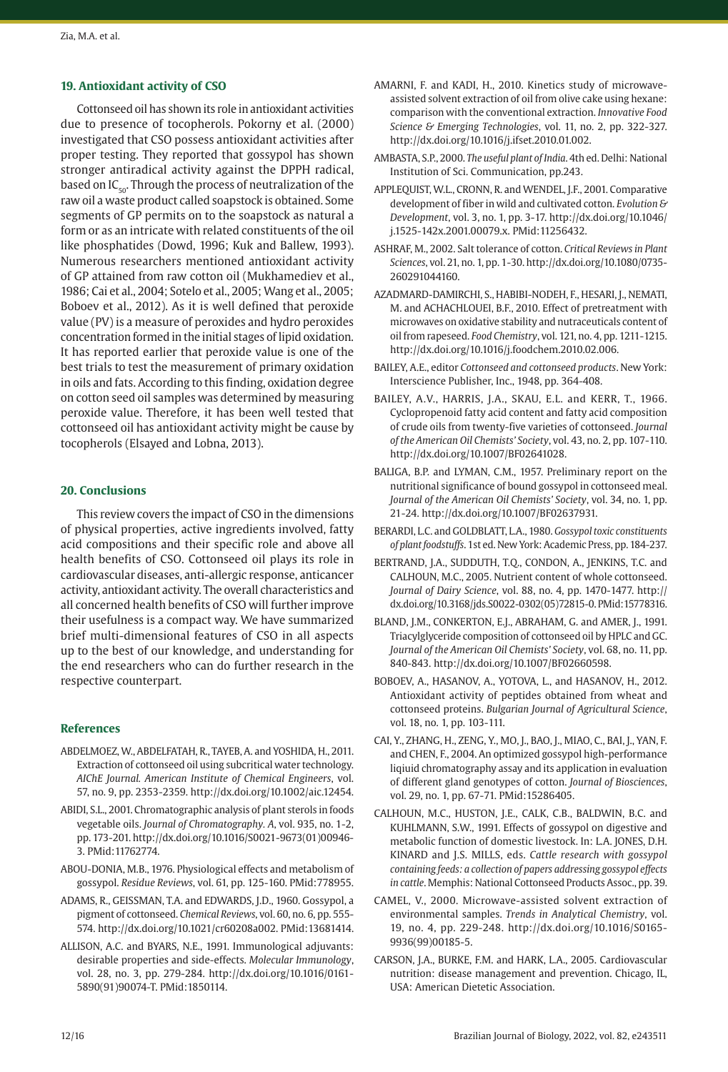# **19. Antioxidant activity of CSO**

Cottonseed oil has shown its role in antioxidant activities due to presence of tocopherols. Pokorny et al. (2000) investigated that CSO possess antioxidant activities after proper testing. They reported that gossypol has shown stronger antiradical activity against the DPPH radical, based on  $IC_{50}$ . Through the process of neutralization of the raw oil a waste product called soapstock is obtained. Some segments of GP permits on to the soapstock as natural a form or as an intricate with related constituents of the oil like phosphatides (Dowd, 1996; Kuk and Ballew, 1993). Numerous researchers mentioned antioxidant activity of GP attained from raw cotton oil (Mukhamediev et al., 1986; Cai et al., 2004; Sotelo et al., 2005; Wang et al., 2005; Boboev et al., 2012). As it is well defined that peroxide value (PV) is a measure of peroxides and hydro peroxides concentration formed in the initial stages of lipid oxidation. It has reported earlier that peroxide value is one of the best trials to test the measurement of primary oxidation in oils and fats. According to this finding, oxidation degree on cotton seed oil samples was determined by measuring peroxide value. Therefore, it has been well tested that cottonseed oil has antioxidant activity might be cause by tocopherols (Elsayed and Lobna, 2013).

## **20. Conclusions**

This review covers the impact of CSO in the dimensions of physical properties, active ingredients involved, fatty acid compositions and their specific role and above all health benefits of CSO. Cottonseed oil plays its role in cardiovascular diseases, anti-allergic response, anticancer activity, antioxidant activity. The overall characteristics and all concerned health benefits of CSO will further improve their usefulness is a compact way. We have summarized brief multi-dimensional features of CSO in all aspects up to the best of our knowledge, and understanding for the end researchers who can do further research in the respective counterpart.

# **References**

- ABDELMOEZ, W., ABDELFATAH, R., TAYEB, A. and YOSHIDA, H., 2011. Extraction of cottonseed oil using subcritical water technology. *AIChE Journal. American Institute of Chemical Engineers*, vol. 57, no. 9, pp. 2353-2359. [http://dx.doi.org/10.1002/aic.12454](https://doi.org/10.1002/aic.12454).
- ABIDI, S.L., 2001. Chromatographic analysis of plant sterols in foods vegetable oils. *Journal of Chromatography. A*, vol. 935, no. 1-2, pp. 173-201. [http://dx.doi.org/10.1016/S0021-9673\(01\)00946-](https://doi.org/10.1016/S0021-9673(01)00946-3) [3.](https://doi.org/10.1016/S0021-9673(01)00946-3) [PMid:11762774.](https://www.ncbi.nlm.nih.gov/entrez/query.fcgi?cmd=Retrieve&db=PubMed&list_uids=11762774&dopt=Abstract)
- ABOU-DONIA, M.B., 1976. Physiological effects and metabolism of gossypol. *Residue Reviews*, vol. 61, pp. 125-160[. PMid:778955.](https://www.ncbi.nlm.nih.gov/entrez/query.fcgi?cmd=Retrieve&db=PubMed&list_uids=778955&dopt=Abstract)
- ADAMS, R., GEISSMAN, T.A. and EDWARDS, J.D., 1960. Gossypol, a pigment of cottonseed. *Chemical Reviews*, vol. 60, no. 6, pp. 555- 574. [http://dx.doi.org/10.1021/cr60208a002](https://doi.org/10.1021/cr60208a002)[. PMid:13681414.](https://www.ncbi.nlm.nih.gov/entrez/query.fcgi?cmd=Retrieve&db=PubMed&list_uids=13681414&dopt=Abstract)
- ALLISON, A.C. and BYARS, N.E., 1991. Immunological adjuvants: desirable properties and side-effects. *Molecular Immunology*, vol. 28, no. 3, pp. 279-284. [http://dx.doi.org/10.1016/0161-](https://doi.org/10.1016/0161-5890(91)90074-T) [5890\(91\)90074-T](https://doi.org/10.1016/0161-5890(91)90074-T)[. PMid:1850114.](https://www.ncbi.nlm.nih.gov/entrez/query.fcgi?cmd=Retrieve&db=PubMed&list_uids=1850114&dopt=Abstract)
- AMARNI, F. and KADI, H., 2010. Kinetics study of microwaveassisted solvent extraction of oil from olive cake using hexane: comparison with the conventional extraction. *Innovative Food Science & Emerging Technologies*, vol. 11, no. 2, pp. 322-327. [http://dx.doi.org/10.1016/j.ifset.2010.01.002.](https://doi.org/10.1016/j.ifset.2010.01.002)
- AMBASTA, S.P., 2000. *The useful plant of India*. 4th ed. Delhi: National Institution of Sci. Communication, pp.243.
- APPLEQUIST, W.L., CRONN, R. and WENDEL, J.F., 2001. Comparative development of fiber in wild and cultivated cotton. *Evolution & Development*, vol. 3, no. 1, pp. 3-17. [http://dx.doi.org/10.1046/](https://doi.org/10.1046/j.1525-142x.2001.00079.x) [j.1525-142x.2001.00079.x.](https://doi.org/10.1046/j.1525-142x.2001.00079.x) [PMid:11256432.](https://www.ncbi.nlm.nih.gov/entrez/query.fcgi?cmd=Retrieve&db=PubMed&list_uids=11256432&dopt=Abstract)
- ASHRAF, M., 2002. Salt tolerance of cotton. *Critical Reviews in Plant Sciences*, vol. 21, no. 1, pp. 1-30. [http://dx.doi.org/10.1080/0735-](https://doi.org/10.1080/0735-260291044160) [260291044160.](https://doi.org/10.1080/0735-260291044160)
- AZADMARD-DAMIRCHI, S., HABIBI-NODEH, F., HESARI, J., NEMATI, M. and ACHACHLOUEI, B.F., 2010. Effect of pretreatment with microwaves on oxidative stability and nutraceuticals content of oil from rapeseed. *Food Chemistry*, vol. 121, no. 4, pp. 1211-1215. [http://dx.doi.org/10.1016/j.foodchem.2010.02.006](https://doi.org/10.1016/j.foodchem.2010.02.006).
- BAILEY, A.E., editor *Cottonseed and cottonseed products*. New York: Interscience Publisher, Inc., 1948, pp. 364-408.
- BAILEY, A.V., HARRIS, J.A., SKAU, E.L. and KERR, T., 1966. Cyclopropenoid fatty acid content and fatty acid composition of crude oils from twenty-five varieties of cottonseed. *Journal of the American Oil Chemists' Society*, vol. 43, no. 2, pp. 107-110. [http://dx.doi.org/10.1007/BF02641028.](https://doi.org/10.1007/BF02641028)
- BALIGA, B.P. and LYMAN, C.M., 1957. Preliminary report on the nutritional significance of bound gossypol in cottonseed meal. *Journal of the American Oil Chemists' Society*, vol. 34, no. 1, pp. 21-24. [http://dx.doi.org/10.1007/BF02637931](https://doi.org/10.1007/BF02637931).
- BERARDI, L.C. and GOLDBLATT, L.A., 1980. *Gossypol toxic constituents of plant foodstuffs*. 1st ed. New York: Academic Press, pp. 184-237.
- BERTRAND, J.A., SUDDUTH, T.Q., CONDON, A., JENKINS, T.C. and CALHOUN, M.C., 2005. Nutrient content of whole cottonseed. *Journal of Dairy Science*, vol. 88, no. 4, pp. 1470-1477. [http://](https://doi.org/10.3168/jds.S0022-0302(05)72815-0) [dx.doi.org/10.3168/jds.S0022-0302\(05\)72815-0](https://doi.org/10.3168/jds.S0022-0302(05)72815-0)[. PMid:15778316.](https://www.ncbi.nlm.nih.gov/entrez/query.fcgi?cmd=Retrieve&db=PubMed&list_uids=15778316&dopt=Abstract)
- BLAND, J.M., CONKERTON, E.J., ABRAHAM, G. and AMER, J., 1991. Triacylglyceride composition of cottonseed oil by HPLC and GC. *Journal of the American Oil Chemists' Society*, vol. 68, no. 11, pp. 840-843. [http://dx.doi.org/10.1007/BF02660598](https://doi.org/10.1007/BF02660598).
- BOBOEV, A., HASANOV, A., YOTOVA, L., and HASANOV, H., 2012. Antioxidant activity of peptides obtained from wheat and cottonseed proteins. *Bulgarian Journal of Agricultural Science*, vol. 18, no. 1, pp. 103-111.
- CAI, Y., ZHANG, H., ZENG, Y., MO, J., BAO, J., MIAO, C., BAI, J., YAN, F. and CHEN, F., 2004. An optimized gossypol high-performance liqiuid chromatography assay and its application in evaluation of different gland genotypes of cotton. *Journal of Biosciences*, vol. 29, no. 1, pp. 67-71[. PMid:15286405.](https://www.ncbi.nlm.nih.gov/entrez/query.fcgi?cmd=Retrieve&db=PubMed&list_uids=15286405&dopt=Abstract)
- CALHOUN, M.C., HUSTON, J.E., CALK, C.B., BALDWIN, B.C. and KUHLMANN, S.W., 1991. Effects of gossypol on digestive and metabolic function of domestic livestock. In: L.A. JONES, D.H. KINARD and J.S. MILLS, eds. *Cattle research with gossypol containing feeds: a collection of papers addressing gossypol effects in cattle*. Memphis: National Cottonseed Products Assoc., pp. 39.
- CAMEL, V., 2000. Microwave-assisted solvent extraction of environmental samples. *Trends in Analytical Chemistry*, vol. 19, no. 4, pp. 229-248. [http://dx.doi.org/10.1016/S0165-](https://doi.org/10.1016/S0165-9936(99)00185-5) [9936\(99\)00185-5.](https://doi.org/10.1016/S0165-9936(99)00185-5)
- CARSON, J.A., BURKE, F.M. and HARK, L.A., 2005. Cardiovascular nutrition: disease management and prevention. Chicago, IL, USA: American Dietetic Association.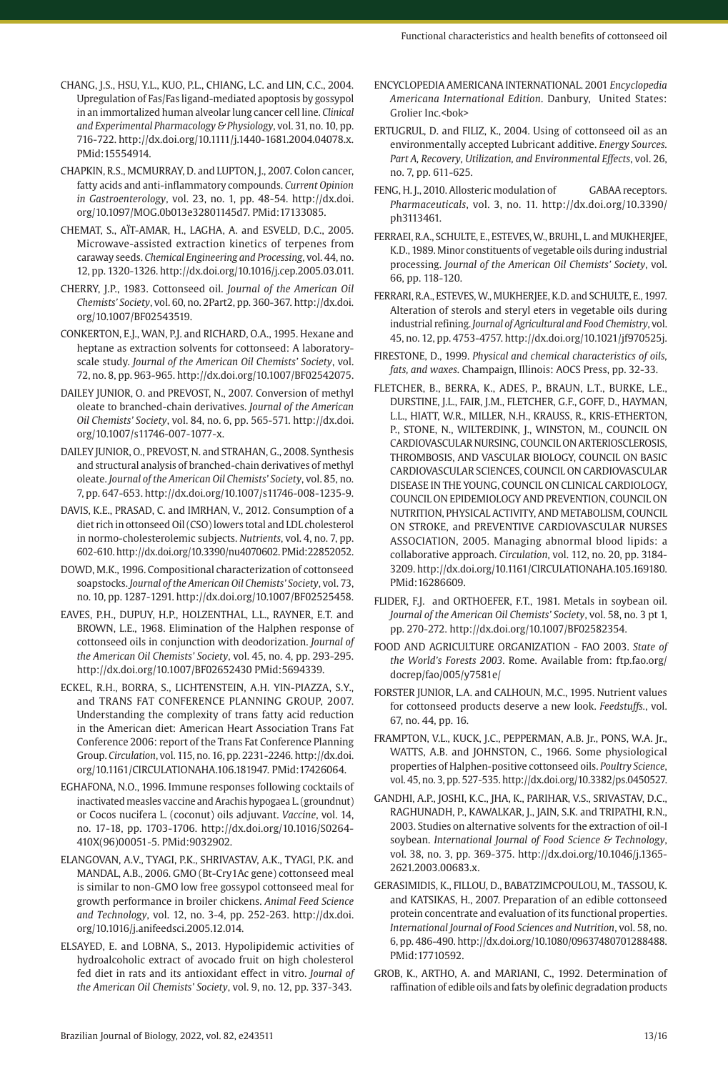- CHANG, J.S., HSU, Y.L., KUO, P.L., CHIANG, L.C. and LIN, C.C., 2004. Upregulation of Fas/Fas ligand-mediated apoptosis by gossypol in an immortalized human alveolar lung cancer cell line. *Clinical and Experimental Pharmacology & Physiology*, vol. 31, no. 10, pp. 716-722. [http://dx.doi.org/10.1111/j.1440-1681.2004.04078.x](https://doi.org/10.1111/j.1440-1681.2004.04078.x). [PMid:15554914.](https://www.ncbi.nlm.nih.gov/entrez/query.fcgi?cmd=Retrieve&db=PubMed&list_uids=15554914&dopt=Abstract)
- CHAPKIN, R.S., MCMURRAY, D. and LUPTON, J., 2007. Colon cancer, fatty acids and anti-inflammatory compounds. *Current Opinion in Gastroenterology*, vol. 23, no. 1, pp. 48-54. [http://dx.doi.](https://doi.org/10.1097/MOG.0b013e32801145d7) [org/10.1097/MOG.0b013e32801145d7.](https://doi.org/10.1097/MOG.0b013e32801145d7) [PMid:17133085.](https://www.ncbi.nlm.nih.gov/entrez/query.fcgi?cmd=Retrieve&db=PubMed&list_uids=17133085&dopt=Abstract)
- CHEMAT, S., AÏT-AMAR, H., LAGHA, A. and ESVELD, D.C., 2005. Microwave-assisted extraction kinetics of terpenes from caraway seeds. *Chemical Engineering and Processing*, vol. 44, no. 12, pp. 1320-1326. [http://dx.doi.org/10.1016/j.cep.2005.03.011](https://doi.org/10.1016/j.cep.2005.03.011).
- CHERRY, J.P., 1983. Cottonseed oil. *Journal of the American Oil Chemists' Society*, vol. 60, no. 2Part2, pp. 360-367. [http://dx.doi.](https://doi.org/10.1007/BF02543519) [org/10.1007/BF02543519](https://doi.org/10.1007/BF02543519).
- CONKERTON, E.J., WAN, P.J. and RICHARD, O.A., 1995. Hexane and heptane as extraction solvents for cottonseed: A laboratoryscale study. *Journal of the American Oil Chemists' Society*, vol. 72, no. 8, pp. 963-965. [http://dx.doi.org/10.1007/BF02542075](https://doi.org/10.1007/BF02542075).
- DAILEY JUNIOR, O. and PREVOST, N., 2007. Conversion of methyl oleate to branched-chain derivatives. *Journal of the American Oil Chemists' Society*, vol. 84, no. 6, pp. 565-571. [http://dx.doi.](https://doi.org/10.1007/s11746-007-1077-x) [org/10.1007/s11746-007-1077-x.](https://doi.org/10.1007/s11746-007-1077-x)
- DAILEY JUNIOR, O., PREVOST, N. and STRAHAN, G., 2008. Synthesis and structural analysis of branched-chain derivatives of methyl oleate. *Journal of the American Oil Chemists' Society*, vol. 85, no. 7, pp. 647-653. [http://dx.doi.org/10.1007/s11746-008-1235-9](https://doi.org/10.1007/s11746-008-1235-9).
- DAVIS, K.E., PRASAD, C. and IMRHAN, V., 2012. Consumption of a diet rich in ottonseed Oil (CSO) lowers total and LDL cholesterol in normo-cholesterolemic subjects. *Nutrients*, vol. 4, no. 7, pp. 602-610. [http://dx.doi.org/10.3390/nu4070602](https://doi.org/10.3390/nu4070602)[. PMid:22852052.](https://www.ncbi.nlm.nih.gov/entrez/query.fcgi?cmd=Retrieve&db=PubMed&list_uids=22852052&dopt=Abstract)
- DOWD, M.K., 1996. Compositional characterization of cottonseed soapstocks. *Journal of the American Oil Chemists' Society*, vol. 73, no. 10, pp. 1287-1291. [http://dx.doi.org/10.1007/BF02525458](https://doi.org/10.1007/BF02525458).
- EAVES, P.H., DUPUY, H.P., HOLZENTHAL, L.L., RAYNER, E.T. and BROWN, L.E., 1968. Elimination of the Halphen response of cottonseed oils in conjunction with deodorization. *Journal of the American Oil Chemists' Society*, vol. 45, no. 4, pp. 293-295. [http://dx.doi.org/10.1007/BF02652430](https://doi.org/10.1007/BF02652430) [PMid:5694339.](https://www.ncbi.nlm.nih.gov/entrez/query.fcgi?cmd=Retrieve&db=PubMed&list_uids=5694339&dopt=Abstract)
- ECKEL, R.H., BORRA, S., LICHTENSTEIN, A.H. YIN-PIAZZA, S.Y., and TRANS FAT CONFERENCE PLANNING GROUP, 2007. Understanding the complexity of trans fatty acid reduction in the American diet: American Heart Association Trans Fat Conference 2006: report of the Trans Fat Conference Planning Group. *Circulation*, vol. 115, no. 16, pp. 2231-2246. [http://dx.doi.](https://doi.org/10.1161/CIRCULATIONAHA.106.181947) [org/10.1161/CIRCULATIONAHA.106.181947](https://doi.org/10.1161/CIRCULATIONAHA.106.181947). [PMid:17426064.](https://www.ncbi.nlm.nih.gov/entrez/query.fcgi?cmd=Retrieve&db=PubMed&list_uids=17426064&dopt=Abstract)
- EGHAFONA, N.O., 1996. Immune responses following cocktails of inactivated measles vaccine and Arachis hypogaea L. (groundnut) or Cocos nucifera L. (coconut) oils adjuvant. *Vaccine*, vol. 14, no. 17-18, pp. 1703-1706. [http://dx.doi.org/10.1016/S0264-](https://doi.org/10.1016/S0264-410X(96)00051-5) [410X\(96\)00051-5](https://doi.org/10.1016/S0264-410X(96)00051-5). [PMid:9032902.](https://www.ncbi.nlm.nih.gov/entrez/query.fcgi?cmd=Retrieve&db=PubMed&list_uids=9032902&dopt=Abstract)
- ELANGOVAN, A.V., TYAGI, P.K., SHRIVASTAV, A.K., TYAGI, P.K. and MANDAL, A.B., 2006. GMO (Bt-Cry1Ac gene) cottonseed meal is similar to non-GMO low free gossypol cottonseed meal for growth performance in broiler chickens. *Animal Feed Science and Technology*, vol. 12, no. 3-4, pp. 252-263. [http://dx.doi.](https://doi.org/10.1016/j.anifeedsci.2005.12.014) [org/10.1016/j.anifeedsci.2005.12.014](https://doi.org/10.1016/j.anifeedsci.2005.12.014).
- ELSAYED, E. and LOBNA, S., 2013. Hypolipidemic activities of hydroalcoholic extract of avocado fruit on high cholesterol fed diet in rats and its antioxidant effect in vitro. *Journal of the American Oil Chemists' Society*, vol. 9, no. 12, pp. 337-343.
- ENCYCLOPEDIA AMERICANA INTERNATIONAL. 2001 *Encyclopedia Americana International Edition*. Danbury, United States: Grolier Inc.<bok>
- ERTUGRUL, D. and FILIZ, K., 2004. Using of cottonseed oil as an environmentally accepted Lubricant additive. *Energy Sources. Part A, Recovery, Utilization, and Environmental Effects*, vol. 26, no. 7, pp. 611-625.
- FENG, H.J., 2010. Allosteric modulation of GABAA receptors. *Pharmaceuticals*, vol. 3, no. 11. http://dx.doi.org/10.3390/ ph3113461.
- FERRAEI, R.A., SCHULTE, E., ESTEVES, W., BRUHL, L. and MUKHERJEE, K.D., 1989. Minor constituents of vegetable oils during industrial processing. *Journal of the American Oil Chemists' Society*, vol. 66, pp. 118-120.
- FERRARI, R.A., ESTEVES, W., MUKHERJEE, K.D. and SCHULTE, E., 1997. Alteration of sterols and steryl eters in vegetable oils during industrial refining. *Journal of Agricultural and Food Chemistry*, vol. 45, no. 12, pp. 4753-4757. [http://dx.doi.org/10.1021/jf970525j](https://doi.org/10.1021/jf970525j).
- FIRESTONE, D., 1999. *Physical and chemical characteristics of oils, fats, and waxes*. Champaign, Illinois: AOCS Press, pp. 32-33.
- FLETCHER, B., BERRA, K., ADES, P., BRAUN, L.T., BURKE, L.E., DURSTINE, J.L., FAIR, J.M., FLETCHER, G.F., GOFF, D., HAYMAN, L.L., HIATT, W.R., MILLER, N.H., KRAUSS, R., KRIS-ETHERTON, P., STONE, N., WILTERDINK, J., WINSTON, M., COUNCIL ON CARDIOVASCULAR NURSING, COUNCIL ON ARTERIOSCLEROSIS, THROMBOSIS, AND VASCULAR BIOLOGY, COUNCIL ON BASIC CARDIOVASCULAR SCIENCES, COUNCIL ON CARDIOVASCULAR DISEASE IN THE YOUNG, COUNCIL ON CLINICAL CARDIOLOGY, COUNCIL ON EPIDEMIOLOGY AND PREVENTION, COUNCIL ON NUTRITION, PHYSICAL ACTIVITY, AND METABOLISM, COUNCIL ON STROKE, and PREVENTIVE CARDIOVASCULAR NURSES ASSOCIATION, 2005. Managing abnormal blood lipids: a collaborative approach. *Circulation*, vol. 112, no. 20, pp. 3184- 3209. [http://dx.doi.org/10.1161/CIRCULATIONAHA.105.169180](https://doi.org/10.1161/CIRCULATIONAHA.105.169180). [PMid:16286609.](https://www.ncbi.nlm.nih.gov/entrez/query.fcgi?cmd=Retrieve&db=PubMed&list_uids=16286609&dopt=Abstract)
- FLIDER, F.J. and ORTHOEFER, F.T., 1981. Metals in soybean oil. *Journal of the American Oil Chemists' Society*, vol. 58, no. 3 pt 1, pp. 270-272. [http://dx.doi.org/10.1007/BF02582354.](https://doi.org/10.1007/BF02582354)
- FOOD AND AGRICULTURE ORGANIZATION FAO 2003. *State of the World's Forests 2003*. Rome. Available from: ftp.fao.org/ docrep/fao/005/y7581e/
- FORSTER JUNIOR, L.A. and CALHOUN, M.C., 1995. Nutrient values for cottonseed products deserve a new look. *Feedstuffs.*, vol. 67, no. 44, pp. 16.
- FRAMPTON, V.L., KUCK, J.C., PEPPERMAN, A.B. Jr., PONS, W.A. Jr., WATTS, A.B. and JOHNSTON, C., 1966. Some physiological properties of Halphen-positive cottonseed oils. *Poultry Science*, vol. 45, no. 3, pp. 527-535. [http://dx.doi.org/10.3382/ps.0450527](https://doi.org/10.3382/ps.0450527).
- GANDHI, A.P., JOSHI, K.C., JHA, K., PARIHAR, V.S., SRIVASTAV, D.C., RAGHUNADH, P., KAWALKAR, J., JAIN, S.K. and TRIPATHI, R.N., 2003. Studies on alternative solvents for the extraction of oil-I soybean. *International Journal of Food Science & Technology*, vol. 38, no. 3, pp. 369-375. [http://dx.doi.org/10.1046/j.1365-](https://doi.org/10.1046/j.1365-2621.2003.00683.x) [2621.2003.00683.x.](https://doi.org/10.1046/j.1365-2621.2003.00683.x)
- GERASIMIDIS, K., FILLOU, D., BABATZIMCPOULOU, M., TASSOU, K. and KATSIKAS, H., 2007. Preparation of an edible cottonseed protein concentrate and evaluation of its functional properties. *International Journal of Food Sciences and Nutrition*, vol. 58, no. 6, pp. 486-490. [http://dx.doi.org/10.1080/09637480701288488](https://doi.org/10.1080/09637480701288488). [PMid:17710592.](https://www.ncbi.nlm.nih.gov/entrez/query.fcgi?cmd=Retrieve&db=PubMed&list_uids=17710592&dopt=Abstract)
- GROB, K., ARTHO, A. and MARIANI, C., 1992. Determination of raffination of edible oils and fats by olefinic degradation products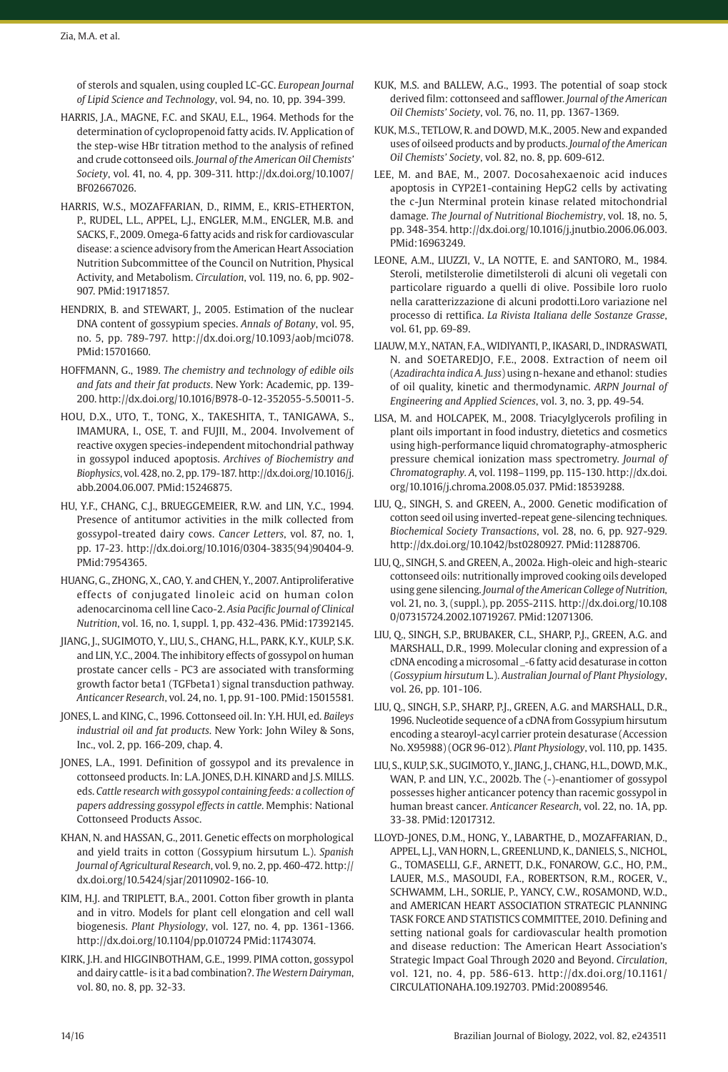of sterols and squalen, using coupled LC-GC. *European Journal of Lipid Science and Technology*, vol. 94, no. 10, pp. 394-399.

- HARRIS, J.A., MAGNE, F.C. and SKAU, E.L., 1964. Methods for the determination of cyclopropenoid fatty acids. IV. Application of the step-wise HBr titration method to the analysis of refined and crude cottonseed oils. *Journal of the American Oil Chemists' Society*, vol. 41, no. 4, pp. 309-311. [http://dx.doi.org/10.1007/](https://doi.org/10.1007/BF02667026) [BF02667026.](https://doi.org/10.1007/BF02667026)
- HARRIS, W.S., MOZAFFARIAN, D., RIMM, E., KRIS-ETHERTON, P., RUDEL, L.L., APPEL, L.J., ENGLER, M.M., ENGLER, M.B. and SACKS, F., 2009. Omega-6 fatty acids and risk for cardiovascular disease: a science advisory from the American Heart Association Nutrition Subcommittee of the Council on Nutrition, Physical Activity, and Metabolism. *Circulation*, vol. 119, no. 6, pp. 902- 907. [PMid:19171857.](https://www.ncbi.nlm.nih.gov/entrez/query.fcgi?cmd=Retrieve&db=PubMed&list_uids=19171857&dopt=Abstract)
- HENDRIX, B. and STEWART, J., 2005. Estimation of the nuclear DNA content of gossypium species. *Annals of Botany*, vol. 95, no. 5, pp. 789-797. [http://dx.doi.org/10.1093/aob/mci078](https://doi.org/10.1093/aob/mci078). [PMid:15701660.](https://www.ncbi.nlm.nih.gov/entrez/query.fcgi?cmd=Retrieve&db=PubMed&list_uids=15701660&dopt=Abstract)
- HOFFMANN, G., 1989. *The chemistry and technology of edible oils and fats and their fat products*. New York: Academic, pp. 139- 200. [http://dx.doi.org/10.1016/B978-0-12-352055-5.50011-5](https://doi.org/10.1016/B978-0-12-352055-5.50011-5).
- HOU, D.X., UTO, T., TONG, X., TAKESHITA, T., TANIGAWA, S., IMAMURA, I., OSE, T. and FUJII, M., 2004. Involvement of reactive oxygen species-independent mitochondrial pathway in gossypol induced apoptosis. *Archives of Biochemistry and Biophysics*, vol. 428, no. 2, pp. 179-187. [http://dx.doi.org/10.1016/j.](https://doi.org/10.1016/j.abb.2004.06.007) [abb.2004.06.007](https://doi.org/10.1016/j.abb.2004.06.007)[. PMid:15246875.](https://www.ncbi.nlm.nih.gov/entrez/query.fcgi?cmd=Retrieve&db=PubMed&list_uids=15246875&dopt=Abstract)
- HU, Y.F., CHANG, C.J., BRUEGGEMEIER, R.W. and LIN, Y.C., 1994. Presence of antitumor activities in the milk collected from gossypol-treated dairy cows. *Cancer Letters*, vol. 87, no. 1, pp. 17-23. [http://dx.doi.org/10.1016/0304-3835\(94\)90404-9](https://doi.org/10.1016/0304-3835(94)90404-9). [PMid:7954365.](https://www.ncbi.nlm.nih.gov/entrez/query.fcgi?cmd=Retrieve&db=PubMed&list_uids=7954365&dopt=Abstract)
- HUANG, G., ZHONG, X., CAO, Y. and CHEN, Y., 2007. Antiproliferative effects of conjugated linoleic acid on human colon adenocarcinoma cell line Caco-2. *Asia Pacific Journal of Clinical Nutrition*, vol. 16, no. 1, suppl. 1, pp. 432-436. [PMid:17392145.](https://www.ncbi.nlm.nih.gov/entrez/query.fcgi?cmd=Retrieve&db=PubMed&list_uids=17392145&dopt=Abstract)
- JIANG, J., SUGIMOTO, Y., LIU, S., CHANG, H.L., PARK, K.Y., KULP, S.K. and LIN, Y.C., 2004. The inhibitory effects of gossypol on human prostate cancer cells - PC3 are associated with transforming growth factor beta1 (TGFbeta1) signal transduction pathway. *Anticancer Research*, vol. 24, no. 1, pp. 91-100[. PMid:15015581.](https://www.ncbi.nlm.nih.gov/entrez/query.fcgi?cmd=Retrieve&db=PubMed&list_uids=15015581&dopt=Abstract)
- JONES, L. and KING, C., 1996. Cottonseed oil. In: Y.H. HUI, ed. *Baileys industrial oil and fat products*. New York: John Wiley & Sons, Inc., vol. 2, pp. 166-209, chap. 4.
- JONES, L.A., 1991. Definition of gossypol and its prevalence in cottonseed products. In: L.A. JONES, D.H. KINARD and J.S. MILLS. eds. *Cattle research with gossypol containing feeds: a collection of papers addressing gossypol effects in cattle*. Memphis: National Cottonseed Products Assoc.
- KHAN, N. and HASSAN, G., 2011. Genetic effects on morphological and yield traits in cotton (Gossypium hirsutum L.). *Spanish Journal of Agricultural Research*, vol. 9, no. 2, pp. 460-472. [http://](https://doi.org/10.5424/sjar/20110902-166-10) [dx.doi.org/10.5424/sjar/20110902-166-10.](https://doi.org/10.5424/sjar/20110902-166-10)
- KIM, H.J. and TRIPLETT, B.A., 2001. Cotton fiber growth in planta and in vitro. Models for plant cell elongation and cell wall biogenesis. *Plant Physiology*, vol. 127, no. 4, pp. 1361-1366. [http://dx.doi.org/10.1104/pp.010724](https://doi.org/10.1104/pp.010724) [PMid:11743074.](https://www.ncbi.nlm.nih.gov/entrez/query.fcgi?cmd=Retrieve&db=PubMed&list_uids=11743074&dopt=Abstract)
- KIRK, J.H. and HIGGINBOTHAM, G.E., 1999. PIMA cotton, gossypol and dairy cattle- is it a bad combination?. *The Western Dairyman*, vol. 80, no. 8, pp. 32-33.
- KUK, M.S. and BALLEW, A.G., 1993. The potential of soap stock derived film: cottonseed and safflower. *Journal of the American Oil Chemists' Society*, vol. 76, no. 11, pp. 1367-1369.
- KUK, M.S., TETLOW, R. and DOWD, M.K., 2005. New and expanded uses of oilseed products and by products. *Journal of the American Oil Chemists' Society*, vol. 82, no. 8, pp. 609-612.
- LEE, M. and BAE, M., 2007. Docosahexaenoic acid induces apoptosis in CYP2E1-containing HepG2 cells by activating the c-Jun Nterminal protein kinase related mitochondrial damage. *The Journal of Nutritional Biochemistry*, vol. 18, no. 5, pp. 348-354. [http://dx.doi.org/10.1016/j.jnutbio.2006.06.003](https://doi.org/10.1016/j.jnutbio.2006.06.003). [PMid:16963249.](https://www.ncbi.nlm.nih.gov/entrez/query.fcgi?cmd=Retrieve&db=PubMed&list_uids=16963249&dopt=Abstract)
- LEONE, A.M., LIUZZI, V., LA NOTTE, E. and SANTORO, M., 1984. Steroli, metilsterolie dimetilsteroli di alcuni oli vegetali con particolare riguardo a quelli di olive. Possibile loro ruolo nella caratterizzazione di alcuni prodotti.Loro variazione nel processo di rettifica. *La Rivista Italiana delle Sostanze Grasse*, vol. 61, pp. 69-89.
- LIAUW, M.Y., NATAN, F.A., WIDIYANTI, P., IKASARI, D., INDRASWATI, N. and SOETAREDJO, F.E., 2008. Extraction of neem oil (*Azadirachta indica A. Juss*) using n-hexane and ethanol: studies of oil quality, kinetic and thermodynamic. *ARPN Journal of Engineering and Applied Sciences*, vol. 3, no. 3, pp. 49-54.
- LISA, M. and HOLCAPEK, M., 2008. Triacylglycerols profiling in plant oils important in food industry, dietetics and cosmetics using high-performance liquid chromatography-atmospheric pressure chemical ionization mass spectrometry. *Journal of Chromatography. A*, vol. 1198–1199, pp. 115-130. [http://dx.doi.](https://doi.org/10.1016/j.chroma.2008.05.037) [org/10.1016/j.chroma.2008.05.037.](https://doi.org/10.1016/j.chroma.2008.05.037) [PMid:18539288.](https://www.ncbi.nlm.nih.gov/entrez/query.fcgi?cmd=Retrieve&db=PubMed&list_uids=18539288&dopt=Abstract)
- LIU, Q., SINGH, S. and GREEN, A., 2000. Genetic modification of cotton seed oil using inverted-repeat gene-silencing techniques. *Biochemical Society Transactions*, vol. 28, no. 6, pp. 927-929. [http://dx.doi.org/10.1042/bst0280927](https://doi.org/10.1042/bst0280927)[. PMid:11288706.](https://www.ncbi.nlm.nih.gov/entrez/query.fcgi?cmd=Retrieve&db=PubMed&list_uids=11288706&dopt=Abstract)
- LIU, Q., SINGH, S. and GREEN, A., 2002a. High-oleic and high-stearic cottonseed oils: nutritionally improved cooking oils developed using gene silencing. *Journal of the American College of Nutrition*, vol. 21, no. 3, (suppl.), pp. 205S-211S. [http://dx.doi.org/10.108](https://doi.org/10.1080/07315724.2002.10719267) [0/07315724.2002.10719267](https://doi.org/10.1080/07315724.2002.10719267). [PMid:12071306.](https://www.ncbi.nlm.nih.gov/entrez/query.fcgi?cmd=Retrieve&db=PubMed&list_uids=12071306&dopt=Abstract)
- LIU, Q., SINGH, S.P., BRUBAKER, C.L., SHARP, P.J., GREEN, A.G. and MARSHALL, D.R., 1999. Molecular cloning and expression of a cDNA encoding a microsomal \_-6 fatty acid desaturase in cotton (*Gossypium hirsutum* L.). *Australian Journal of Plant Physiology*, vol. 26, pp. 101-106.
- LIU, Q., SINGH, S.P., SHARP, P.J., GREEN, A.G. and MARSHALL, D.R., 1996. Nucleotide sequence of a cDNA from Gossypium hirsutum encoding a stearoyl-acyl carrier protein desaturase (Accession No. X95988) (OGR 96-012). *Plant Physiology*, vol. 110, pp. 1435.
- LIU, S., KULP, S.K., SUGIMOTO, Y., JIANG, J., CHANG, H.L., DOWD, M.K., WAN, P. and LIN, Y.C., 2002b. The (-)-enantiomer of gossypol possesses higher anticancer potency than racemic gossypol in human breast cancer. *Anticancer Research*, vol. 22, no. 1A, pp. 33-38[. PMid:12017312.](https://www.ncbi.nlm.nih.gov/entrez/query.fcgi?cmd=Retrieve&db=PubMed&list_uids=12017312&dopt=Abstract)
- LLOYD-JONES, D.M., HONG, Y., LABARTHE, D., MOZAFFARIAN, D., APPEL, L.J., VAN HORN, L., GREENLUND, K., DANIELS, S., NICHOL, G., TOMASELLI, G.F., ARNETT, D.K., FONAROW, G.C., HO, P.M., LAUER, M.S., MASOUDI, F.A., ROBERTSON, R.M., ROGER, V., SCHWAMM, L.H., SORLIE, P., YANCY, C.W., ROSAMOND, W.D., and AMERICAN HEART ASSOCIATION STRATEGIC PLANNING TASK FORCE AND STATISTICS COMMITTEE, 2010. Defining and setting national goals for cardiovascular health promotion and disease reduction: The American Heart Association's Strategic Impact Goal Through 2020 and Beyond. *Circulation*, vol. 121, no. 4, pp. 586-613. [http://dx.doi.org/10.1161/](https://doi.org/10.1161/CIRCULATIONAHA.109.192703) [CIRCULATIONAHA.109.192703](https://doi.org/10.1161/CIRCULATIONAHA.109.192703). [PMid:20089546.](https://www.ncbi.nlm.nih.gov/entrez/query.fcgi?cmd=Retrieve&db=PubMed&list_uids=20089546&dopt=Abstract)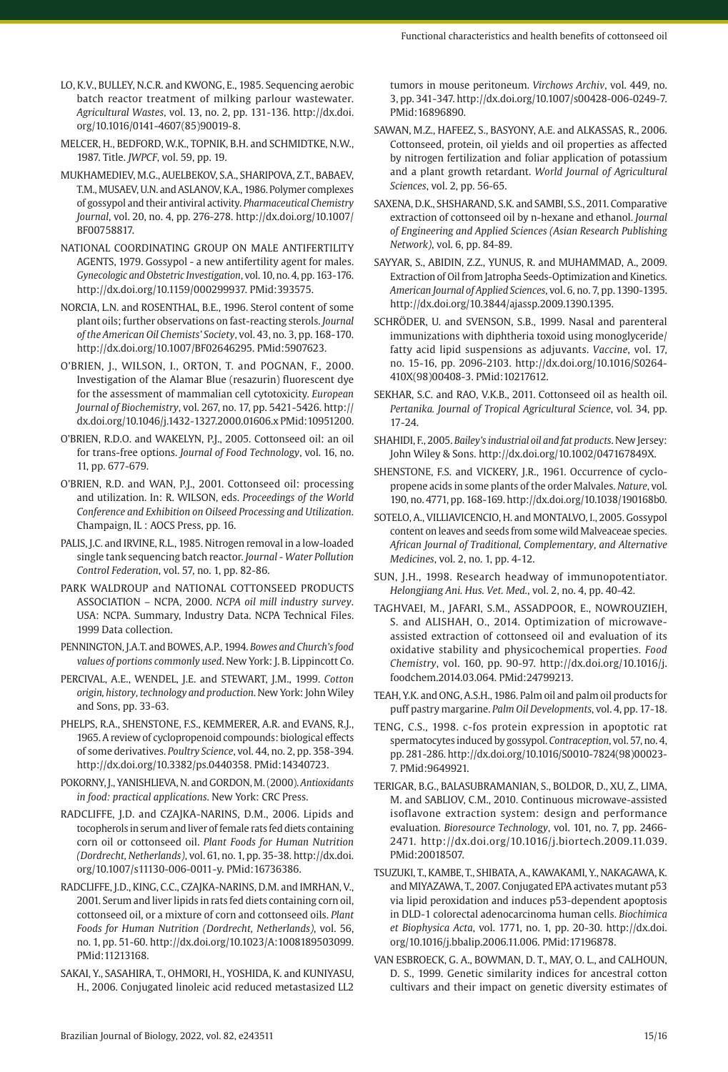- LO, K.V., BULLEY, N.C.R. and KWONG, E., 1985. Sequencing aerobic batch reactor treatment of milking parlour wastewater. *Agricultural Wastes*, vol. 13, no. 2, pp. 131-136. [http://dx.doi.](https://doi.org/10.1016/0141-4607(85)90019-8) [org/10.1016/0141-4607\(85\)90019-8](https://doi.org/10.1016/0141-4607(85)90019-8).
- MELCER, H., BEDFORD, W.K., TOPNIK, B.H. and SCHMIDTKE, N.W., 1987. Title. *JWPCF*, vol. 59, pp. 19.
- MUKHAMEDIEV, M.G., AUELBEKOV, S.A., SHARIPOVA, Z.T., BABAEV, T.M., MUSAEV, U.N. and ASLANOV, K.A., 1986. Polymer complexes of gossypol and their antiviral activity. *Pharmaceutical Chemistry Journal*, vol. 20, no. 4, pp. 276-278. [http://dx.doi.org/10.1007/](https://doi.org/10.1007/BF00758817) [BF00758817.](https://doi.org/10.1007/BF00758817)
- NATIONAL COORDINATING GROUP ON MALE ANTIFERTILITY AGENTS, 1979. Gossypol - a new antifertility agent for males. *Gynecologic and Obstetric Investigation*, vol. 10, no. 4, pp. 163-176. [http://dx.doi.org/10.1159/000299937](https://doi.org/10.1159/000299937)[. PMid:393575.](https://www.ncbi.nlm.nih.gov/entrez/query.fcgi?cmd=Retrieve&db=PubMed&list_uids=393575&dopt=Abstract)
- NORCIA, L.N. and ROSENTHAL, B.E., 1996. Sterol content of some plant oils; further observations on fast-reacting sterols. *Journal of the American Oil Chemists' Society*, vol. 43, no. 3, pp. 168-170. [http://dx.doi.org/10.1007/BF02646295.](https://doi.org/10.1007/BF02646295) [PMid:5907623.](https://www.ncbi.nlm.nih.gov/entrez/query.fcgi?cmd=Retrieve&db=PubMed&list_uids=5907623&dopt=Abstract)
- O'BRIEN, J., WILSON, I., ORTON, T. and POGNAN, F., 2000. Investigation of the Alamar Blue (resazurin) fluorescent dye for the assessment of mammalian cell cytotoxicity. *European Journal of Biochemistry*, vol. 267, no. 17, pp. 5421-5426. [http://](https://doi.org/10.1046/j.1432-1327.2000.01606.x) [dx.doi.org/10.1046/j.1432-1327.2000.01606.x](https://doi.org/10.1046/j.1432-1327.2000.01606.x) [PMid:10951200.](https://www.ncbi.nlm.nih.gov/entrez/query.fcgi?cmd=Retrieve&db=PubMed&list_uids=10951200&dopt=Abstract)
- O'BRIEN, R.D.O. and WAKELYN, P.J., 2005. Cottonseed oil: an oil for trans-free options. *Journal of Food Technology*, vol. 16, no. 11, pp. 677-679.
- O'BRIEN, R.D. and WAN, P.J., 2001. Cottonseed oil: processing and utilization. In: R. WILSON, eds. *Proceedings of the World Conference and Exhibition on Oilseed Processing and Utilization*. Champaign, IL : AOCS Press, pp. 16.
- PALIS, J.C. and IRVINE, R.L., 1985. Nitrogen removal in a low-loaded single tank sequencing batch reactor. *Journal - Water Pollution Control Federation*, vol. 57, no. 1, pp. 82-86.
- PARK WALDROUP and NATIONAL COTTONSEED PRODUCTS ASSOCIATION – NCPA, 2000. *NCPA oil mill industry survey*. USA: NCPA. Summary, Industry Data. NCPA Technical Files. 1999 Data collection.
- PENNINGTON, J.A.T. and BOWES, A.P., 1994. *Bowes and Church's food values of portions commonly used*. New York: J. B. Lippincott Co.
- PERCIVAL, A.E., WENDEL, J.E. and STEWART, J.M., 1999. *Cotton origin, history, technology and production*. New York: John Wiley and Sons, pp. 33-63.
- PHELPS, R.A., SHENSTONE, F.S., KEMMERER, A.R. and EVANS, R.J., 1965. A review of cyclopropenoid compounds: biological effects of some derivatives. *Poultry Science*, vol. 44, no. 2, pp. 358-394. [http://dx.doi.org/10.3382/ps.0440358](https://doi.org/10.3382/ps.0440358)[. PMid:14340723.](https://www.ncbi.nlm.nih.gov/entrez/query.fcgi?cmd=Retrieve&db=PubMed&list_uids=14340723&dopt=Abstract)
- POKORNY, J., YANISHLIEVA, N. and GORDON, M. (2000). *Antioxidants in food: practical applications*. New York: CRC Press.
- RADCLIFFE, J.D. and CZAJKA-NARINS, D.M., 2006. Lipids and tocopherols in serum and liver of female rats fed diets containing corn oil or cottonseed oil. *Plant Foods for Human Nutrition (Dordrecht, Netherlands)*, vol. 61, no. 1, pp. 35-38. [http://dx.doi.](https://doi.org/10.1007/s11130-006-0011-y) [org/10.1007/s11130-006-0011-y](https://doi.org/10.1007/s11130-006-0011-y)[. PMid:16736386.](https://www.ncbi.nlm.nih.gov/entrez/query.fcgi?cmd=Retrieve&db=PubMed&list_uids=16736386&dopt=Abstract)
- RADCLIFFE, J.D., KING, C.C., CZAJKA-NARINS, D.M. and IMRHAN, V., 2001. Serum and liver lipids in rats fed diets containing corn oil, cottonseed oil, or a mixture of corn and cottonseed oils. *Plant Foods for Human Nutrition (Dordrecht, Netherlands)*, vol. 56, no. 1, pp. 51-60. [http://dx.doi.org/10.1023/A:1008189503099](https://doi.org/10.1023/A:1008189503099). [PMid:11213168.](https://www.ncbi.nlm.nih.gov/entrez/query.fcgi?cmd=Retrieve&db=PubMed&list_uids=11213168&dopt=Abstract)
- SAKAI, Y., SASAHIRA, T., OHMORI, H., YOSHIDA, K. and KUNIYASU, H., 2006. Conjugated linoleic acid reduced metastasized LL2

tumors in mouse peritoneum. *Virchows Archiv*, vol. 449, no. 3, pp. 341-347. [http://dx.doi.org/10.1007/s00428-006-0249-7](https://doi.org/10.1007/s00428-006-0249-7). [PMid:16896890.](https://www.ncbi.nlm.nih.gov/entrez/query.fcgi?cmd=Retrieve&db=PubMed&list_uids=16896890&dopt=Abstract)

- SAWAN, M.Z., HAFEEZ, S., BASYONY, A.E. and ALKASSAS, R., 2006. Cottonseed, protein, oil yields and oil properties as affected by nitrogen fertilization and foliar application of potassium and a plant growth retardant. *World Journal of Agricultural Sciences*, vol. 2, pp. 56-65.
- SAXENA, D.K., SHSHARAND, S.K. and SAMBI, S.S., 2011. Comparative extraction of cottonseed oil by n-hexane and ethanol. *Journal of Engineering and Applied Sciences (Asian Research Publishing Network)*, vol. 6, pp. 84-89.
- SAYYAR, S., ABIDIN, Z.Z., YUNUS, R. and MUHAMMAD, A., 2009. Extraction of Oil from Jatropha Seeds-Optimization and Kinetics. *American Journal of Applied Sciences*, vol. 6, no. 7, pp. 1390-1395. [http://dx.doi.org/10.3844/ajassp.2009.1390.1395.](https://doi.org/10.3844/ajassp.2009.1390.1395)
- SCHRÖDER, U. and SVENSON, S.B., 1999. Nasal and parenteral immunizations with diphtheria toxoid using monoglyceride/ fatty acid lipid suspensions as adjuvants. *Vaccine*, vol. 17, no. 15-16, pp. 2096-2103. [http://dx.doi.org/10.1016/S0264-](https://doi.org/10.1016/S0264-410X(98)00408-3) [410X\(98\)00408-3](https://doi.org/10.1016/S0264-410X(98)00408-3). [PMid:10217612.](https://www.ncbi.nlm.nih.gov/entrez/query.fcgi?cmd=Retrieve&db=PubMed&list_uids=10217612&dopt=Abstract)
- SEKHAR, S.C. and RAO, V.K.B., 2011. Cottonseed oil as health oil. *Pertanika. Journal of Tropical Agricultural Science*, vol. 34, pp. 17-24.
- SHAHIDI, F., 2005. *Bailey's industrial oil and fat products*. New Jersey: John Wiley & Sons. [http://dx.doi.org/10.1002/047167849X.](https://doi.org/10.1002/047167849X)
- SHENSTONE, F.S. and VICKERY, J.R., 1961. Occurrence of cyclopropene acids in some plants of the order Malvales. *Nature*, vol. 190, no. 4771, pp. 168-169. [http://dx.doi.org/10.1038/190168b0](https://doi.org/10.1038/190168b0).
- SOTELO, A., VILLIAVICENCIO, H. and MONTALVO, I., 2005. Gossypol content on leaves and seeds from some wild Malveaceae species. *African Journal of Traditional, Complementary, and Alternative Medicines*, vol. 2, no. 1, pp. 4-12.
- SUN, J.H., 1998. Research headway of immunopotentiator. *Helongjiang Ani. Hus. Vet. Med.*, vol. 2, no. 4, pp. 40-42.
- TAGHVAEI, M., JAFARI, S.M., ASSADPOOR, E., NOWROUZIEH, S. and ALISHAH, O., 2014. Optimization of microwaveassisted extraction of cottonseed oil and evaluation of its oxidative stability and physicochemical properties. *Food Chemistry*, vol. 160, pp. 90-97. [http://dx.doi.org/10.1016/j.](https://doi.org/10.1016/j.foodchem.2014.03.064) [foodchem.2014.03.064](https://doi.org/10.1016/j.foodchem.2014.03.064)[. PMid:24799213.](https://www.ncbi.nlm.nih.gov/entrez/query.fcgi?cmd=Retrieve&db=PubMed&list_uids=24799213&dopt=Abstract)
- TEAH, Y.K. and ONG, A.S.H., 1986. Palm oil and palm oil products for puff pastry margarine. *Palm Oil Developments*, vol. 4, pp. 17-18.
- TENG, C.S., 1998. c-fos protein expression in apoptotic rat spermatocytes induced by gossypol. *Contraception*, vol. 57, no. 4, pp. 281-286. [http://dx.doi.org/10.1016/S0010-7824\(98\)00023-](https://doi.org/10.1016/S0010-7824(98)00023-7) [7.](https://doi.org/10.1016/S0010-7824(98)00023-7) [PMid:9649921.](https://www.ncbi.nlm.nih.gov/entrez/query.fcgi?cmd=Retrieve&db=PubMed&list_uids=9649921&dopt=Abstract)
- TERIGAR, B.G., BALASUBRAMANIAN, S., BOLDOR, D., XU, Z., LIMA, M. and SABLIOV, C.M., 2010. Continuous microwave-assisted isoflavone extraction system: design and performance evaluation. *Bioresource Technology*, vol. 101, no. 7, pp. 2466- 2471. [http://dx.doi.org/10.1016/j.biortech.2009.11.039](https://doi.org/10.1016/j.biortech.2009.11.039). [PMid:20018507.](https://www.ncbi.nlm.nih.gov/entrez/query.fcgi?cmd=Retrieve&db=PubMed&list_uids=20018507&dopt=Abstract)
- TSUZUKI, T., KAMBE, T., SHIBATA, A., KAWAKAMI, Y., NAKAGAWA, K. and MIYAZAWA, T., 2007. Conjugated EPA activates mutant p53 via lipid peroxidation and induces p53-dependent apoptosis in DLD-1 colorectal adenocarcinoma human cells. *Biochimica et Biophysica Acta*, vol. 1771, no. 1, pp. 20-30. [http://dx.doi.](https://doi.org/10.1016/j.bbalip.2006.11.006) [org/10.1016/j.bbalip.2006.11.006](https://doi.org/10.1016/j.bbalip.2006.11.006)[. PMid:17196878.](https://www.ncbi.nlm.nih.gov/entrez/query.fcgi?cmd=Retrieve&db=PubMed&list_uids=17196878&dopt=Abstract)
- VAN ESBROECK, G. A., BOWMAN, D. T., MAY, O. L., and CALHOUN, D. S., 1999. Genetic similarity indices for ancestral cotton cultivars and their impact on genetic diversity estimates of